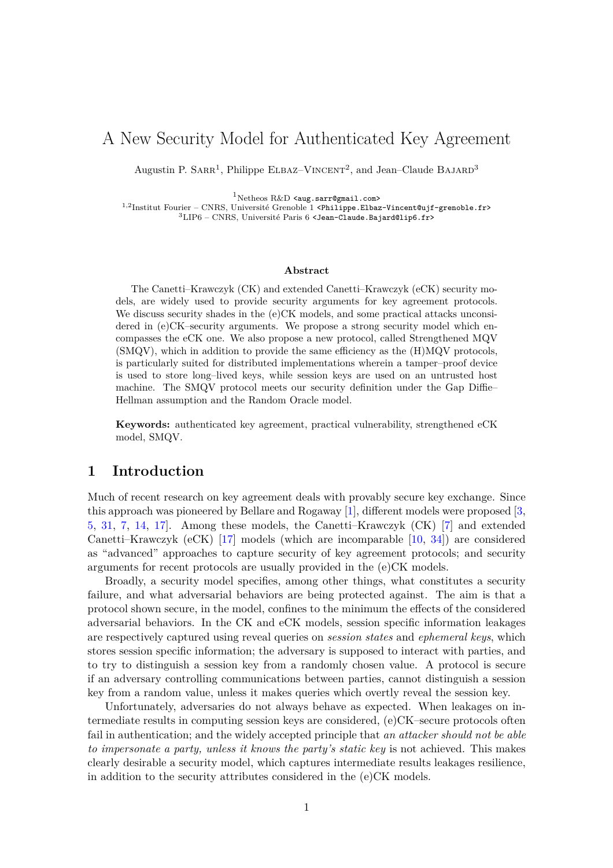# A New Security Model for Authenticated Key Agreement

Augustin P. SARR<sup>1</sup>, Philippe ELBAZ-VINCENT<sup>2</sup>, and Jean-Claude BAJARD<sup>3</sup>

 $^1\rm{Netheos}$  R&D  $<$ aug.sarr@gmail.com>

1,2Institut Fourier – CNRS, Université Grenoble 1 <Philippe.Elbaz-Vincent@ujf-grenoble.fr> <sup>3</sup>LIP6 – CNRS, Université Paris 6 <Jean-Claude.Bajard@lip6.fr>

#### **Abstract**

The Canetti–Krawczyk (CK) and extended Canetti–Krawczyk (eCK) security models, are widely used to provide security arguments for key agreement protocols. We discuss security shades in the (e)CK models, and some practical attacks unconsidered in (e)CK–security arguments. We propose a strong security model which encompasses the eCK one. We also propose a new protocol, called Strengthened MQV (SMQV), which in addition to provide the same efficiency as the (H)MQV protocols, is particularly suited for distributed implementations wherein a tamper–proof device is used to store long–lived keys, while session keys are used on an untrusted host machine. The SMQV protocol meets our security definition under the Gap Diffie– Hellman assumption and the Random Oracle model.

**Keywords:** authenticated key agreement, practical vulnerability, strengthened eCK model, SMQV.

### **1 Introduction**

Much of recent research on key agreement deals with provably secure key exchange. Since this approach was pioneered by Bellare and Rogaway [\[1\]](#page-11-0), different models were proposed [\[3,](#page-11-1) [5,](#page-11-2) [31,](#page-13-0) [7,](#page-12-0) [14,](#page-12-1) [17\]](#page-12-2). Among these models, the Canetti–Krawczyk (CK) [\[7\]](#page-12-0) and extended Canetti–Krawczyk (eCK) [\[17\]](#page-12-2) models (which are incomparable [\[10,](#page-12-3) [34\]](#page-13-1)) are considered as "advanced" approaches to capture security of key agreement protocols; and security arguments for recent protocols are usually provided in the (e)CK models.

Broadly, a security model specifies, among other things, what constitutes a security failure, and what adversarial behaviors are being protected against. The aim is that a protocol shown secure, in the model, confines to the minimum the effects of the considered adversarial behaviors. In the CK and eCK models, session specific information leakages are respectively captured using reveal queries on *session states* and *ephemeral keys*, which stores session specific information; the adversary is supposed to interact with parties, and to try to distinguish a session key from a randomly chosen value. A protocol is secure if an adversary controlling communications between parties, cannot distinguish a session key from a random value, unless it makes queries which overtly reveal the session key.

Unfortunately, adversaries do not always behave as expected. When leakages on intermediate results in computing session keys are considered, (e)CK–secure protocols often fail in authentication; and the widely accepted principle that *an attacker should not be able to impersonate a party, unless it knows the party's static key* is not achieved. This makes clearly desirable a security model, which captures intermediate results leakages resilience, in addition to the security attributes considered in the (e)CK models.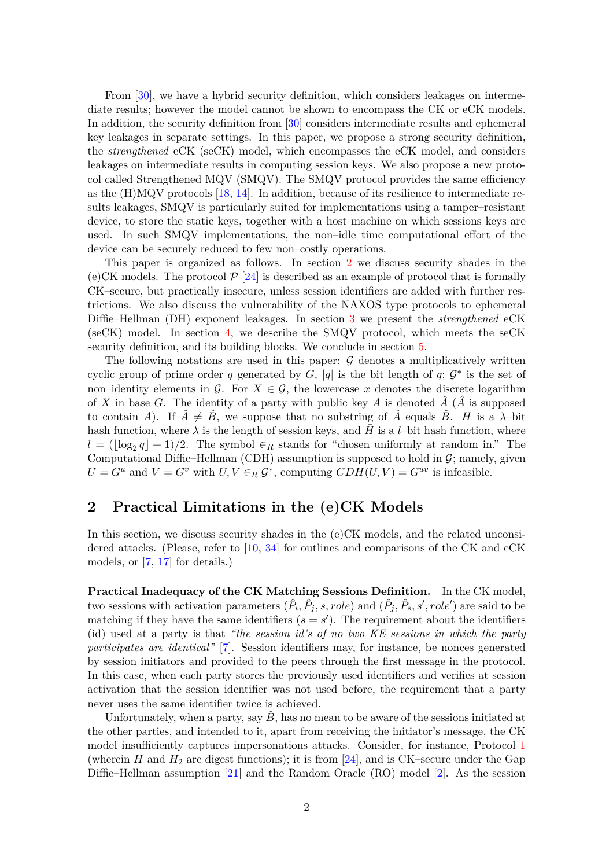From [\[30\]](#page-13-2), we have a hybrid security definition, which considers leakages on intermediate results; however the model cannot be shown to encompass the CK or eCK models. In addition, the security definition from [\[30\]](#page-13-2) considers intermediate results and ephemeral key leakages in separate settings. In this paper, we propose a strong security definition, the *strengthened* eCK (seCK) model, which encompasses the eCK model, and considers leakages on intermediate results in computing session keys. We also propose a new protocol called Strengthened MQV (SMQV). The SMQV protocol provides the same efficiency as the (H)MQV protocols [\[18,](#page-12-4) [14\]](#page-12-1). In addition, because of its resilience to intermediate results leakages, SMQV is particularly suited for implementations using a tamper–resistant device, to store the static keys, together with a host machine on which sessions keys are used. In such SMQV implementations, the non–idle time computational effort of the device can be securely reduced to few non–costly operations.

This paper is organized as follows. In section [2](#page-1-0) we discuss security shades in the (e)CK models. The protocol  $\mathcal{P}$  [\[24\]](#page-12-5) is described as an example of protocol that is formally CK–secure, but practically insecure, unless session identifiers are added with further restrictions. We also discuss the vulnerability of the NAXOS type protocols to ephemeral Diffie–Hellman (DH) exponent leakages. In section [3](#page-4-0) we present the *strengthened* eCK (seCK) model. In section [4,](#page-8-0) we describe the SMQV protocol, which meets the seCK security definition, and its building blocks. We conclude in section [5.](#page-11-3)

The following notations are used in this paper:  $\mathcal G$  denotes a multiplicatively written cyclic group of prime order *q* generated by  $G$ , |*q*| is the bit length of  $q$ ;  $G^*$  is the set of non–identity elements in  $\mathcal{G}$ . For  $X \in \mathcal{G}$ , the lowercase x denotes the discrete logarithm of *X* in base *G*. The identity of a party with public key *A* is denoted  $\hat{A}$  ( $\hat{A}$  is supposed to contain *A*). If  $A \neq B$ , we suppose that no substring of  $\overline{A}$  equals  $\overline{B}$ . *H* is a  $\lambda$ -bit hash function, where  $\lambda$  is the length of session keys, and H is a *l*–bit hash function, where  $l = (\lfloor \log_2 q \rfloor + 1)/2$ . The symbol  $\in_R$  stands for "chosen uniformly at random in." The Computational Diffie–Hellman (CDH) assumption is supposed to hold in  $\mathcal{G}$ ; namely, given  $U = G^u$  and  $V = G^v$  with  $U, V \in_R \mathcal{G}^*$ , computing  $CDH(U, V) = G^{uv}$  is infeasible.

## <span id="page-1-0"></span>**2 Practical Limitations in the (e)CK Models**

In this section, we discuss security shades in the (e)CK models, and the related unconsidered attacks. (Please, refer to [\[10,](#page-12-3) [34\]](#page-13-1) for outlines and comparisons of the CK and eCK models, or [\[7,](#page-12-0) [17\]](#page-12-2) for details.)

**Practical Inadequacy of the CK Matching Sessions Definition.** In the CK model, two sessions with activation parameters  $(\hat{P}_i, \hat{P}_j, s, role)$  and  $(\hat{P}_j, \hat{P}_s, s', role')$  are said to be matching if they have the same identifiers  $(s = s')$ . The requirement about the identifiers (id) used at a party is that *"the session id's of no two KE sessions in which the party participates are identical"* [\[7\]](#page-12-0). Session identifiers may, for instance, be nonces generated by session initiators and provided to the peers through the first message in the protocol. In this case, when each party stores the previously used identifiers and verifies at session activation that the session identifier was not used before, the requirement that a party never uses the same identifier twice is achieved.

Unfortunately, when a party, say  $\hat{B}$ , has no mean to be aware of the sessions initiated at the other parties, and intended to it, apart from receiving the initiator's message, the CK model insufficiently captures impersonations attacks. Consider, for instance, Protocol 1 (wherein *H* and  $H_2$  are digest functions); it is from [\[24\]](#page-12-5), and is CK–secure under the Gap Diffie–Hellman assumption [\[21\]](#page-12-6) and the Random Oracle (RO) model [\[2\]](#page-11-4). As the session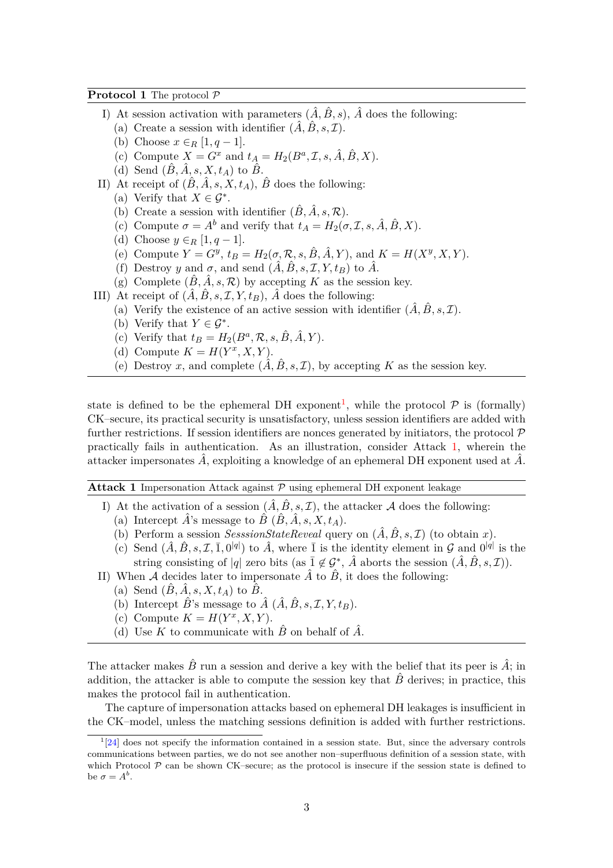### **Protocol 1** The protocol  $P$

- I) At session activation with parameters  $(\hat{A}, \hat{B}, s)$ ,  $\hat{A}$  does the following:
	- (a) Create a session with identifier  $(\hat{A}, \hat{B}, s, \mathcal{I})$ .
	- (b) Choose  $x \in_R [1, q-1]$ .
	- (c) Compute  $X = G^x$  and  $t_A = H_2(B^a, \mathcal{I}, s, \hat{A}, \hat{B}, X)$ .
	- (d) Send  $(\tilde{B}, \tilde{A}, s, X, t_A)$  to  $B$ .
- II) At receipt of  $(\hat{B}, \hat{A}, s, X, t_A)$ ,  $\hat{B}$  does the following:
	- (a) Verify that  $X \in \mathcal{G}^*$ .
	- (b) Create a session with identifier  $(\hat{B}, \hat{A}, s, \mathcal{R})$ .
	- (c) Compute  $\sigma = A^b$  and verify that  $t_A = H_2(\sigma, \mathcal{I}, s, \hat{A}, \hat{B}, X)$ .
	- (d) Choose  $y \in_R [1, q-1]$ .
	- (e) Compute  $Y = G^y$ ,  $t_B = H_2(\sigma, \mathcal{R}, s, \hat{B}, \hat{A}, Y)$ , and  $K = H(X^y, X, Y)$ .
	- (f) Destroy *y* and  $\sigma$ , and send  $(\hat{A}, \hat{B}, s, \mathcal{I}, Y, t_B)$  to  $\hat{A}$ .
	- (g) Complete  $(\hat{B}, \hat{A}, s, \mathcal{R})$  by accepting K as the session key.
- III) At receipt of  $(\hat{A}, \hat{B}, s, \mathcal{I}, Y, t_B)$ ,  $\hat{A}$  does the following:
	- (a) Verify the existence of an active session with identifier  $(\hat{A}, \hat{B}, s, \mathcal{I})$ .
	- (b) Verify that  $Y \in \mathcal{G}^*$ .
	- (c) Verify that  $t_B = H_2(B^a, \mathcal{R}, s, \hat{B}, \hat{A}, Y)$ .
	- (d) Compute  $K = H(Y^x, X, Y)$ .
	- (e) Destroy *x*, and complete  $(\hat{A}, \hat{B}, s, \mathcal{I})$ , by accepting K as the session key.

state is defined to be the ephemeral DH exponent<sup>1</sup>, while the protocol  $P$  is (formally) CK–secure, its practical security is unsatisfactory, unless session identifiers are added with further restrictions. If session identifiers are nonces generated by initiators, the protocol  $\mathcal P$ practically fails in authentication. As an illustration, consider Attack 1, wherein the attacker impersonates  $\hat{A}$ , exploiting a knowledge of an ephemeral DH exponent used at  $\hat{A}$ .

### **Attack 1** Impersonation Attack against  $P$  using ephemeral DH exponent leakage

- I) At the activation of a session  $(\hat{A}, \hat{B}, s, \mathcal{I})$ , the attacker A does the following:
	- (a) Intercept  $\hat{A}$ 's message to  $\hat{B}$  ( $\hat{B}$ ,  $\hat{A}$ , s, X,  $t_A$ ).
	- (b) Perform a session *SesssionStateReveal* query on  $(\hat{A}, \hat{B}, s, \mathcal{I})$  (to obtain *x*).
	- (c) Send  $(\hat{A}, \hat{B}, s, \mathcal{I}, \bar{1}, 0^{|q|})$  to  $\hat{A}$ , where  $\bar{1}$  is the identity element in  $\mathcal{G}$  and  $0^{|q|}$  is the string consisting of  $|q|$  zero bits (as  $\overline{1} \notin \mathcal{G}^*$ ,  $\hat{A}$  aborts the session  $(\hat{A}, \hat{B}, s, \mathcal{I})$ ).
- II) When A decides later to impersonate  $\hat{A}$  to  $\hat{B}$ , it does the following:
	- (a) Send  $(\hat{B}, \hat{A}, s, X, t_A)$  to  $\hat{B}$ .
	- (b) Intercept  $\hat{B}$ 's message to  $\hat{A}$  ( $\hat{A}$ ,  $\hat{B}$ ,  $s$ ,  $\mathcal{I}$ ,  $Y$ ,  $t_B$ ).
	- (c) Compute  $K = H(Y^x, X, Y)$ .
	- (d) Use K to communicate with  $\hat{B}$  on behalf of  $\hat{A}$ .

The attacker makes  $\hat{B}$  run a session and derive a key with the belief that its peer is  $\hat{A}$ ; in addition, the attacker is able to compute the session key that  $\hat{B}$ <sup></sup> derives; in practice, this makes the protocol fail in authentication.

The capture of impersonation attacks based on ephemeral DH leakages is insufficient in the CK–model, unless the matching sessions definition is added with further restrictions.

<sup>&</sup>lt;sup>1</sup>[\[24\]](#page-12-5) does not specify the information contained in a session state. But, since the adversary controls communications between parties, we do not see another non–superfluous definition of a session state, with which Protocol  $P$  can be shown CK–secure; as the protocol is insecure if the session state is defined to be  $\sigma = A^b$ .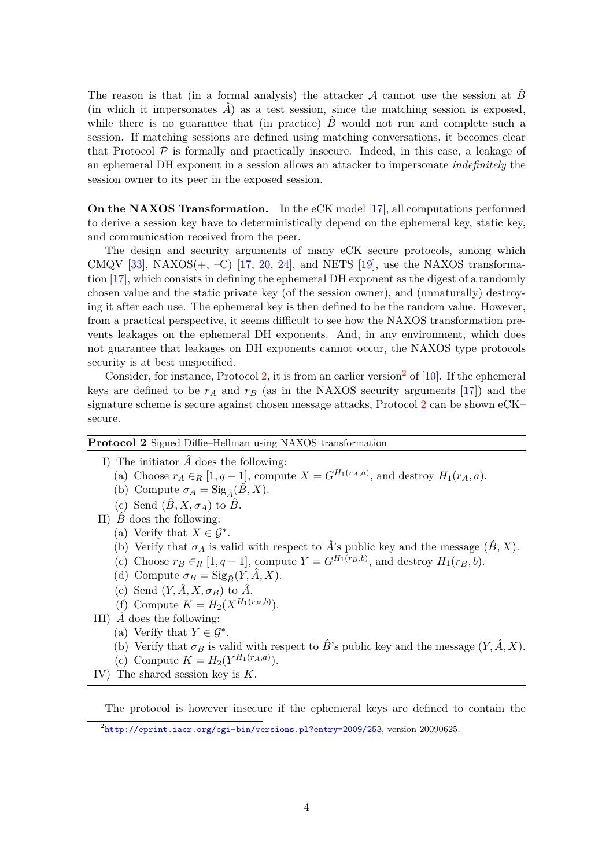The reason is that (in a formal analysis) the attacker  $A$  cannot use the session at  $\hat{B}$ (in which it impersonates  $\hat{A}$ ) as a test session, since the matching session is exposed, while there is no guarantee that (in practice)  $\hat{B}$  would not run and complete such a session. If matching sessions are defined using matching conversations, it becomes clear that Protocol  $P$  is formally and practically insecure. Indeed, in this case, a leakage of an ephemeral DH exponent in a session allows an attacker to impersonate *indefinitely* the session owner to its peer in the exposed session.

**On the NAXOS Transformation.** In the eCK model [\[17\]](#page-12-2), all computations performed to derive a session key have to deterministically depend on the ephemeral key, static key, and communication received from the peer.

The design and security arguments of many eCK secure protocols, among which CMQV [\[33\]](#page-13-3), NAXOS $(+, -C)$  [\[17,](#page-12-2) [20,](#page-12-7) [24\]](#page-12-5), and NETS [\[19\]](#page-12-8), use the NAXOS transformation [\[17\]](#page-12-2), which consists in defining the ephemeral DH exponent as the digest of a randomly chosen value and the static private key (of the session owner), and (unnaturally) destroying it after each use. The ephemeral key is then defined to be the random value. However, from a practical perspective, it seems difficult to see how the NAXOS transformation prevents leakages on the ephemeral DH exponents. And, in any environment, which does not guarantee that leakages on DH exponents cannot occur, the NAXOS type protocols security is at best unspecified.

Consider, for instance, Protocol 2, it is from an earlier version<sup>2</sup> of [\[10\]](#page-12-3). If the ephemeral keys are defined to be  $r_A$  and  $r_B$  (as in the NAXOS security arguments [\[17\]](#page-12-2)) and the signature scheme is secure against chosen message attacks, Protocol 2 can be shown eCK– secure.

#### **Protocol 2** Signed Diffie–Hellman using NAXOS transformation

- I) The initiator  $\hat{A}$  does the following:
	- (a) Choose  $r_A \in_R [1, q-1]$ , compute  $X = G^{H_1(r_A, a)}$ , and destroy  $H_1(r_A, a)$ .
	- (b) Compute  $\sigma_A = \text{Sig}_{\hat{A}}(\hat{B}, X)$ .
	- (c) Send  $(\hat{B}, X, \sigma_A)$  to  $\hat{B}$ .
- II)  $\hat{B}$  does the following:
	- (a) Verify that  $X \in \mathcal{G}^*$ .
	- (b) Verify that  $\sigma_A$  is valid with respect to  $\hat{A}$ 's public key and the message  $(\hat{B}, X)$ .
	- (c) Choose  $r_B \in_R [1, q-1]$ , compute  $Y = G^{H_1(r_B, b)}$ , and destroy  $H_1(r_B, b)$ .
	- (d) Compute  $\sigma_B = \text{Sig}_{\hat{B}}(Y, \hat{A}, X)$ .
	- (e) Send  $(Y, \hat{A}, X, \sigma_B)$  to  $\hat{A}$ .
	- (f) Compute  $K = H_2(X^{H_1(r_B, b)})$ .
- III)  $\hat{A}$  does the following:
	- (a) Verify that  $Y \in \mathcal{G}^*$ .
	- (b) Verify that  $\sigma_B$  is valid with respect to  $\hat{B}$ 's public key and the message  $(Y, \hat{A}, X)$ .
	- (c) Compute  $K = H_2(Y^{H_1(r_A, a)})$ .
- IV) The shared session key is *K*.

The protocol is however insecure if the ephemeral keys are defined to contain the  $^{2}$ <http://eprint.iacr.org/cgi-bin/versions.pl?entry=2009/253>, version 20090625.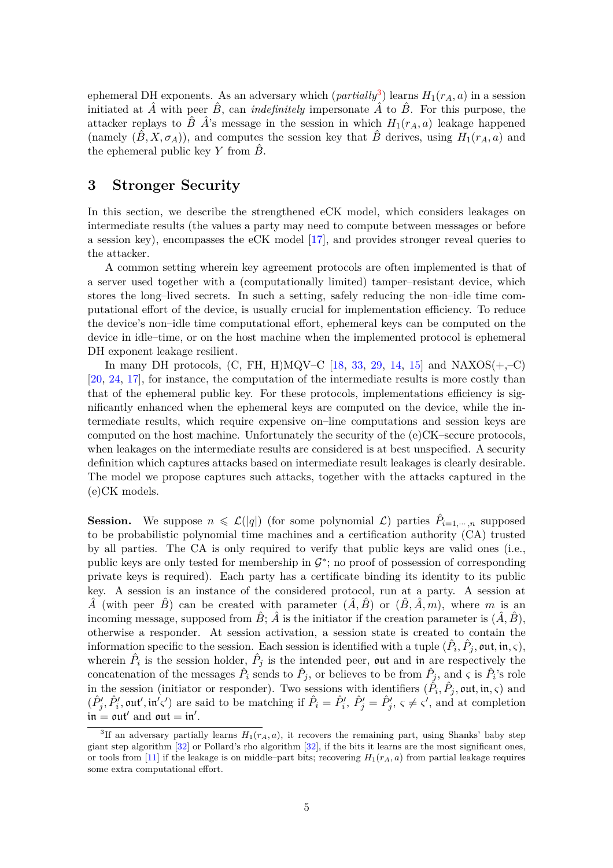ephemeral DH exponents. As an adversary which  $(partially^3)$  learns  $H_1(r_A, a)$  in a session initiated at  $\hat{A}$  with peer  $\hat{B}$ , can *indefinitely* impersonate  $\hat{A}$  to  $\hat{B}$ . For this purpose, the attacker replays to  $\hat{B}$   $\hat{A}$ 's message in the session in which  $H_1(r_A, a)$  leakage happened (namely  $(\hat{B}, X, \sigma_A)$ ), and computes the session key that  $\hat{B}$  derives, using  $H_1(r_A, a)$  and the ephemeral public key *Y* from  $\hat{B}$ .

## <span id="page-4-0"></span>**3 Stronger Security**

In this section, we describe the strengthened eCK model, which considers leakages on intermediate results (the values a party may need to compute between messages or before a session key), encompasses the eCK model [\[17\]](#page-12-2), and provides stronger reveal queries to the attacker.

A common setting wherein key agreement protocols are often implemented is that of a server used together with a (computationally limited) tamper–resistant device, which stores the long–lived secrets. In such a setting, safely reducing the non–idle time computational effort of the device, is usually crucial for implementation efficiency. To reduce the device's non–idle time computational effort, ephemeral keys can be computed on the device in idle–time, or on the host machine when the implemented protocol is ephemeral DH exponent leakage resilient.

In many DH protocols, (C, FH, H)MQV–C [\[18,](#page-12-4) [33,](#page-13-3) [29,](#page-13-4) [14,](#page-12-1) [15\]](#page-12-9) and  $NAXOS(+,-C)$ [\[20,](#page-12-7) [24,](#page-12-5) [17\]](#page-12-2), for instance, the computation of the intermediate results is more costly than that of the ephemeral public key. For these protocols, implementations efficiency is significantly enhanced when the ephemeral keys are computed on the device, while the intermediate results, which require expensive on–line computations and session keys are computed on the host machine. Unfortunately the security of the (e)CK–secure protocols, when leakages on the intermediate results are considered is at best unspecified. A security definition which captures attacks based on intermediate result leakages is clearly desirable. The model we propose captures such attacks, together with the attacks captured in the (e)CK models.

**Session.** We suppose  $n \leq \mathcal{L}(|q|)$  (for some polynomial  $\mathcal{L}$ ) parties  $\hat{P}_{i=1,\dots,n}$  supposed to be probabilistic polynomial time machines and a certification authority (CA) trusted by all parties. The CA is only required to verify that public keys are valid ones (i.e., public keys are only tested for membership in  $\mathcal{G}^*$ ; no proof of possession of corresponding private keys is required). Each party has a certificate binding its identity to its public key. A session is an instance of the considered protocol, run at a party. A session at  $\hat{A}$ <sup></sup> (with peer  $\hat{B}$ ) can be created with parameter  $(\hat{A}, \hat{B})$  or  $(\hat{B}, \hat{A}, m)$ , where *m* is an incoming message, supposed from  $\hat{B}$ ;  $\hat{A}$  is the initiator if the creation parameter is  $(\hat{A}, \hat{B})$ , otherwise a responder. At session activation, a session state is created to contain the information specific to the session. Each session is identified with a tuple  $(\hat{P}_i, \hat{P}_j, \text{out}, \text{in}, \varsigma)$ , wherein  $\hat{P}_i$  is the session holder,  $\hat{P}_j$  is the intended peer, out and in are respectively the concatenation of the messages  $\hat{P}_i$  sends to  $\hat{P}_j$ , or believes to be from  $\hat{P}_j$ , and  $\varsigma$  is  $\hat{P}_i$ 's role in the session (initiator or responder). Two sessions with identifiers  $(\hat{P}_i, \hat{P}_j, \text{out}, \text{in}, \varsigma)$  and  $(\hat{P}'_j, \hat{P}'_i, \text{out}', \text{in}'\varsigma')$  are said to be matching if  $\hat{P}_i = \hat{P}'_i, \hat{P}'_j = \hat{P}'_j, \varsigma \neq \varsigma'$ , and at completion  $\mathfrak{in} = \mathfrak{out}'$  and  $\mathfrak{out} = \mathfrak{in}'$ .

<sup>&</sup>lt;sup>3</sup>If an adversary partially learns  $H_1(r_A, a)$ , it recovers the remaining part, using Shanks' baby step giant step algorithm [\[32\]](#page-13-5) or Pollard's rho algorithm [\[32\]](#page-13-5), if the bits it learns are the most significant ones, or tools from [\[11\]](#page-12-10) if the leakage is on middle–part bits; recovering  $H_1(r_A, a)$  from partial leakage requires some extra computational effort.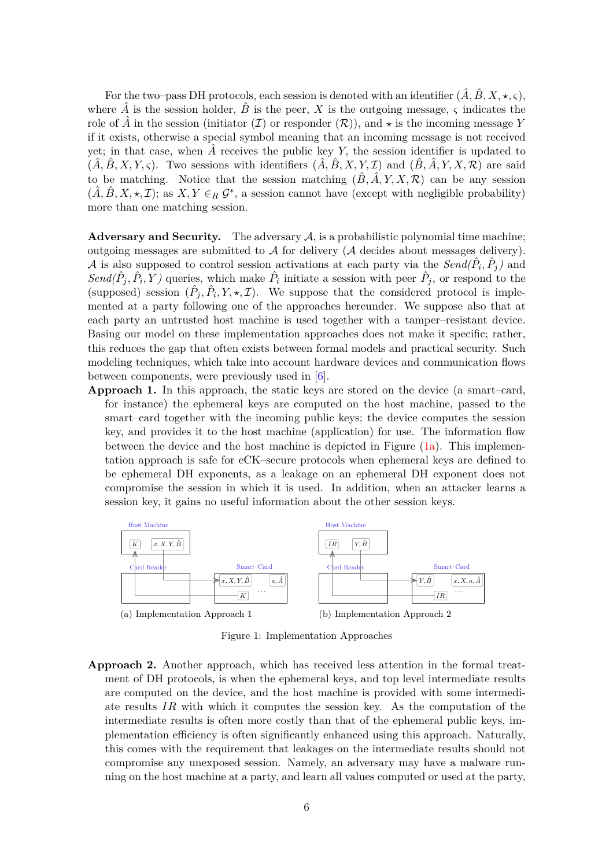For the two–pass DH protocols, each session is denoted with an identifier  $(\hat{A}, \hat{B}, X, \star, \varsigma)$ , where  $\hat{A}$  is the session holder,  $\hat{B}$  is the peer, *X* is the outgoing message, *ς* indicates the role of  $\hat{A}$  in the session (initiator  $(\mathcal{I})$  or responder  $(\mathcal{R})$ ), and  $\star$  is the incoming message *Y* if it exists, otherwise a special symbol meaning that an incoming message is not received yet; in that case, when  $\hat{A}$  receives the public key  $Y$ , the session identifier is updated to  $(\hat{A}, \hat{B}, X, Y, \varsigma)$ . Two sessions with identifiers  $(\hat{A}, \hat{B}, X, Y, \mathcal{I})$  and  $(\hat{B}, \hat{A}, Y, X, \mathcal{R})$  are said to be matching. Notice that the session matching  $(\hat{B}, \hat{A}, Y, X, \mathcal{R})$  can be any session  $(\hat{A}, \hat{B}, X, \star, \mathcal{I})$ ; as  $X, Y \in_R \mathcal{G}^*$ , a session cannot have (except with negligible probability) more than one matching session.

**Adversary and Security.** The adversary  $A$ , is a probabilistic polynomial time machine; outgoing messages are submitted to  $A$  for delivery ( $A$  decides about messages delivery). A is also supposed to control session activations at each party via the  $Send(\hat{P}_i, \hat{P}_j)$  and  $Send(\hat{P}_j, \hat{P}_i, Y)$  queries, which make  $\hat{P}_i$  initiate a session with peer  $\hat{P}_j$ , or respond to the (supposed) session  $(\hat{P}_j, \hat{P}_i, Y, \star, \mathcal{I})$ . We suppose that the considered protocol is implemented at a party following one of the approaches hereunder. We suppose also that at each party an untrusted host machine is used together with a tamper–resistant device. Basing our model on these implementation approaches does not make it specific; rather, this reduces the gap that often exists between formal models and practical security. Such modeling techniques, which take into account hardware devices and communication flows between components, were previously used in [\[6\]](#page-12-11).

**Approach 1.** In this approach, the static keys are stored on the device (a smart–card, for instance) the ephemeral keys are computed on the host machine, passed to the smart–card together with the incoming public keys; the device computes the session key, and provides it to the host machine (application) for use. The information flow between the device and the host machine is depicted in Figure [\(1a\)](#page-5-0). This implementation approach is safe for eCK–secure protocols when ephemeral keys are defined to be ephemeral DH exponents, as a leakage on an ephemeral DH exponent does not compromise the session in which it is used. In addition, when an attacker learns a session key, it gains no useful information about the other session keys.

<span id="page-5-0"></span>

(b) Implementation Approach 2

Figure 1: Implementation Approaches

**Approach 2.** Another approach, which has received less attention in the formal treatment of DH protocols, is when the ephemeral keys, and top level intermediate results are computed on the device, and the host machine is provided with some intermediate results *IR* with which it computes the session key. As the computation of the intermediate results is often more costly than that of the ephemeral public keys, implementation efficiency is often significantly enhanced using this approach. Naturally, this comes with the requirement that leakages on the intermediate results should not compromise any unexposed session. Namely, an adversary may have a malware running on the host machine at a party, and learn all values computed or used at the party,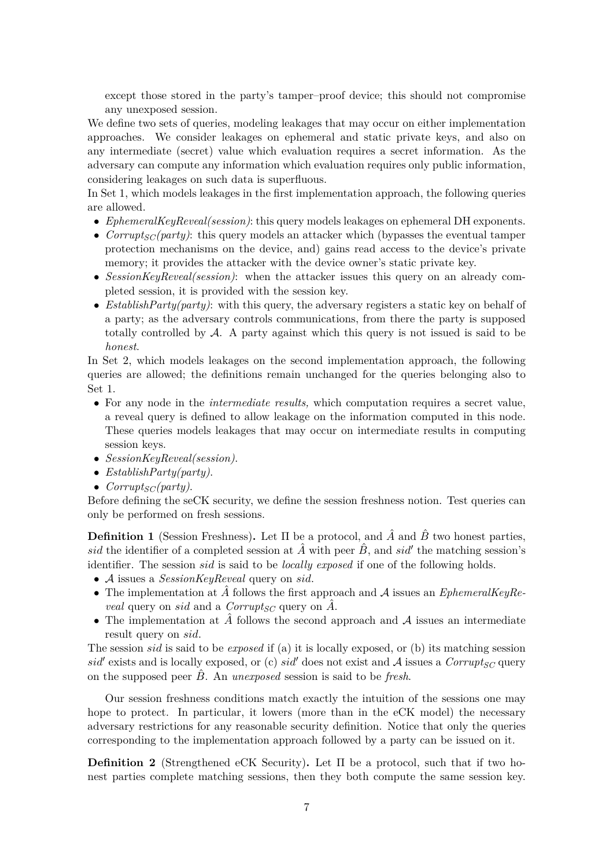except those stored in the party's tamper–proof device; this should not compromise any unexposed session.

We define two sets of queries, modeling leakages that may occur on either implementation approaches. We consider leakages on ephemeral and static private keys, and also on any intermediate (secret) value which evaluation requires a secret information. As the adversary can compute any information which evaluation requires only public information, considering leakages on such data is superfluous.

In Set 1, which models leakages in the first implementation approach, the following queries are allowed.

- *EphemeralKeyReveal(session)*: this query models leakages on ephemeral DH exponents.
- *Corrupt<sub>SC</sub>*(party): this query models an attacker which (bypasses the eventual tamper protection mechanisms on the device, and) gains read access to the device's private memory; it provides the attacker with the device owner's static private key.
- *SessionKeyReveal(session)*: when the attacker issues this query on an already completed session, it is provided with the session key.
- *EstablishParty(party)*: with this query, the adversary registers a static key on behalf of a party; as the adversary controls communications, from there the party is supposed totally controlled by  $A$ . A party against which this query is not issued is said to be *honest*.

In Set 2, which models leakages on the second implementation approach, the following queries are allowed; the definitions remain unchanged for the queries belonging also to Set 1.

- For any node in the *intermediate results,* which computation requires a secret value, a reveal query is defined to allow leakage on the information computed in this node. These queries models leakages that may occur on intermediate results in computing session keys.
- *SessionKeyReveal(session)*.
- *EstablishParty(party)*.
- $\bullet$  *Corrupt<sub>SC</sub>*(*party*).

Before defining the seCK security, we define the session freshness notion. Test queries can only be performed on fresh sessions.

**Definition 1** (Session Freshness). Let  $\Pi$  be a protocol, and  $\hat{A}$  and  $\hat{B}$  two honest parties, *sid* the identifier of a completed session at  $\hat{A}$  with peer  $\hat{B}$ , and *sid*<sup>'</sup> the matching session's identifier. The session *sid* is said to be *locally exposed* if one of the following holds.

- A issues a *SessionKeyReveal* query on *sid*.
- The implementation at *A*ˆ follows the first approach and A issues an *EphemeralKeyReveal* query on *sid* and a *Corrupt*<sub>*SC*</sub> query on  $\hat{A}$ .
- The implementation at  $\hat{A}$  follows the second approach and  $A$  issues an intermediate result query on *sid*.

The session *sid* is said to be *exposed* if (a) it is locally exposed, or (b) its matching session sid' exists and is locally exposed, or (c) *sid'* does not exist and  $A$  issues a  $Corrupt_{SC}$  query on the supposed peer *B*ˆ. An *unexposed* session is said to be *fresh*.

Our session freshness conditions match exactly the intuition of the sessions one may hope to protect. In particular, it lowers (more than in the eCK model) the necessary adversary restrictions for any reasonable security definition. Notice that only the queries corresponding to the implementation approach followed by a party can be issued on it.

**Definition 2** (Strengthened eCK Security)**.** Let Π be a protocol, such that if two honest parties complete matching sessions, then they both compute the same session key.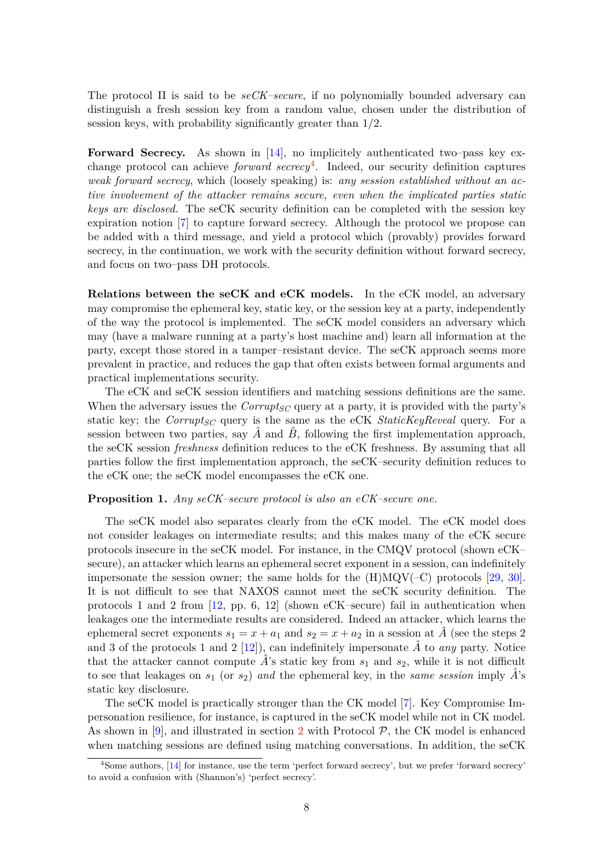The protocol Π is said to be *seCK–secure*, if no polynomially bounded adversary can distinguish a fresh session key from a random value, chosen under the distribution of session keys, with probability significantly greater than 1/2.

**Forward Secrecy.** As shown in [\[14\]](#page-12-1), no implicitely authenticated two–pass key exchange protocol can achieve *forward secrecy*<sup>4</sup> . Indeed, our security definition captures *weak forward secrecy*, which (loosely speaking) is: *any session established without an active involvement of the attacker remains secure, even when the implicated parties static keys are disclosed.* The seCK security definition can be completed with the session key expiration notion [\[7\]](#page-12-0) to capture forward secrecy. Although the protocol we propose can be added with a third message, and yield a protocol which (provably) provides forward secrecy, in the continuation, we work with the security definition without forward secrecy, and focus on two–pass DH protocols.

**Relations between the seCK and eCK models.** In the eCK model, an adversary may compromise the ephemeral key, static key, or the session key at a party, independently of the way the protocol is implemented. The seCK model considers an adversary which may (have a malware running at a party's host machine and) learn all information at the party, except those stored in a tamper–resistant device. The seCK approach seems more prevalent in practice, and reduces the gap that often exists between formal arguments and practical implementations security.

The eCK and seCK session identifiers and matching sessions definitions are the same. When the adversary issues the *Corrupt<sub>SC*</sub> query at a party, it is provided with the party's static key; the *CorruptSC* query is the same as the eCK *StaticKeyReveal* query. For a session between two parties, say  $\hat{A}$  and  $\hat{B}$ , following the first implementation approach, the seCK session *freshness* definition reduces to the eCK freshness. By assuming that all parties follow the first implementation approach, the seCK–security definition reduces to the eCK one; the seCK model encompasses the eCK one.

#### **Proposition 1.** *Any seCK–secure protocol is also an eCK–secure one.*

The seCK model also separates clearly from the eCK model. The eCK model does not consider leakages on intermediate results; and this makes many of the eCK secure protocols insecure in the seCK model. For instance, in the CMQV protocol (shown eCK– secure), an attacker which learns an ephemeral secret exponent in a session, can indefinitely impersonate the session owner; the same holds for the  $(H)MQV(-C)$  protocols [\[29,](#page-13-4) [30\]](#page-13-2). It is not difficult to see that NAXOS cannot meet the seCK security definition. The protocols 1 and 2 from [\[12,](#page-12-12) pp. 6, 12] (shown eCK–secure) fail in authentication when leakages one the intermediate results are considered. Indeed an attacker, which learns the ephemeral secret exponents  $s_1 = x + a_1$  and  $s_2 = x + a_2$  in a session at  $\hat{A}$  (see the steps 2) and 3 of the protocols 1 and 2  $[12]$ , can indefinitely impersonate  $\hat{A}$  to *any* party. Notice that the attacker cannot compute  $\hat{A}$ 's static key from  $s_1$  and  $s_2$ , while it is not difficult to see that leakages on  $s_1$  (or  $s_2$ ) and the ephemeral key, in the *same session* imply  $\hat{A}$ 's static key disclosure.

The seCK model is practically stronger than the CK model [\[7\]](#page-12-0). Key Compromise Impersonation resilience, for instance, is captured in the seCK model while not in CK model. As shown in [\[9\]](#page-12-13), and illustrated in section [2](#page-1-0) with Protocol  $P$ , the CK model is enhanced when matching sessions are defined using matching conversations. In addition, the seCK

<sup>&</sup>lt;sup>4</sup>Some authors, [\[14\]](#page-12-1) for instance, use the term 'perfect forward secrecy', but we prefer 'forward secrecy' to avoid a confusion with (Shannon's) 'perfect secrecy'.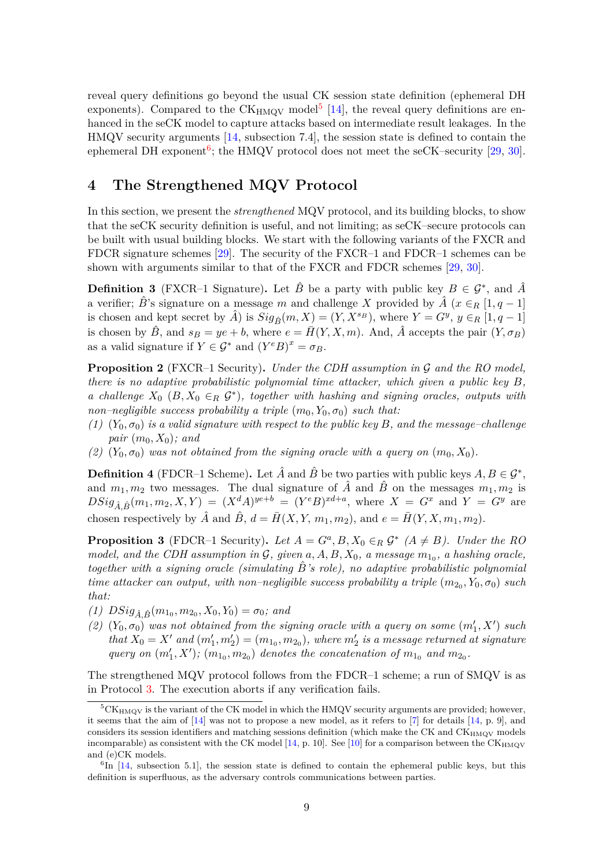reveal query definitions go beyond the usual CK session state definition (ephemeral DH exponents). Compared to the  $CK_{HMQV}$  model<sup>5</sup> [\[14\]](#page-12-1), the reveal query definitions are enhanced in the seCK model to capture attacks based on intermediate result leakages. In the HMQV security arguments [\[14,](#page-12-1) subsection 7.4], the session state is defined to contain the ephemeral DH exponent<sup>6</sup>; the HMQV protocol does not meet the seCK–security  $[29, 30]$  $[29, 30]$ .

## <span id="page-8-0"></span>**4 The Strengthened MQV Protocol**

In this section, we present the *strengthened* MQV protocol, and its building blocks, to show that the seCK security definition is useful, and not limiting; as seCK–secure protocols can be built with usual building blocks. We start with the following variants of the FXCR and FDCR signature schemes [\[29\]](#page-13-4). The security of the FXCR–1 and FDCR–1 schemes can be shown with arguments similar to that of the FXCR and FDCR schemes [\[29,](#page-13-4) [30\]](#page-13-2).

**Definition 3** (FXCR-1 Signature). Let  $\hat{B}$  be a party with public key  $B \in \mathcal{G}^*$ , and  $\hat{A}$ a verifier;  $\hat{B}$ 's signature on a message *m* and challenge *X* provided by  $\hat{A}$  ( $x \in_R [1, q-1]$ ) is chosen and kept secret by  $\hat{A}$ ) is  $Sig_{\hat{B}}(m, X) = (Y, X^{s_B})$ , where  $Y = G^y$ ,  $y \in_R [1, q - 1]$ is chosen by  $\hat{B}$ , and  $s_B = ye + b$ , where  $e = \bar{H}(Y, X, m)$ . And,  $\hat{A}$  accepts the pair  $(Y, \sigma_B)$ as a valid signature if  $Y \in \mathcal{G}^*$  and  $(Y^eB)^x = \sigma_B$ .

<span id="page-8-2"></span>**Proposition 2** (FXCR–1 Security)**.** *Under the CDH assumption in* G *and the RO model, there is no adaptive probabilistic polynomial time attacker, which given a public key B, a challenge*  $X_0$   $(B, X_0 \in_R \mathcal{G}^*)$ , together with hashing and signing oracles, outputs with *non–negligible success probability a triple*  $(m_0, Y_0, \sigma_0)$  *such that:* 

- *(1)*  $(Y_0, \sigma_0)$  *is a valid signature with respect to the public key B, and the message–challenge*  $pair (m_0, X_0);$  and
- (2)  $(Y_0, \sigma_0)$  *was not obtained from the signing oracle with a query on*  $(m_0, X_0)$ *.*

**Definition 4** (FDCR–1 Scheme). Let  $\hat{A}$  and  $\hat{B}$  be two parties with public keys  $A, B \in \mathcal{G}^*$ , and  $m_1, m_2$  two messages. The dual signature of  $\hat{A}$  and  $\hat{B}$  on the messages  $m_1, m_2$  is  $DSig_{\hat{A},\hat{B}}(m_1,m_2,X,Y) = (X^dA)^{ye+b} = (Y^eB)^{xd+a}$ , where  $X = G^x$  and  $Y = G^y$  are chosen respectively by  $\hat{A}$  and  $\hat{B}$ ,  $d = \bar{H}(X, Y, m_1, m_2)$ , and  $e = \bar{H}(Y, X, m_1, m_2)$ .

<span id="page-8-1"></span>**Proposition 3** (FDCR–1 Security). Let  $A = G^a, B, X_0 \in_R \mathcal{G}^*$   $(A \neq B)$ . Under the RO *model, and the CDH assumption in*  $G$ *, given*  $a$ *, A, B,*  $X_0$ *, a message*  $m_{10}$ *, a hashing oracle, together with a signing oracle (simulating B*ˆ*'s role), no adaptive probabilistic polynomial time attacker can output, with non–negligible success probability a triple*  $(m_{20}, Y_0, \sigma_0)$  such *that:*

 $(D)$  *DSig*<sub> $\hat{A}, \hat{B}}(m_{10}, m_{20}, X_0, Y_0) = \sigma_0$ ; and</sub>

(2)  $(Y_0, \sigma_0)$  was not obtained from the signing oracle with a query on some  $(m'_1, X')$  such  $that X_0 = X'$  and  $(m'_1, m'_2) = (m_{1_0}, m_{2_0})$ , where  $m'_2$  is a message returned at signature *query on*  $(m'_1, X')$ ;  $(m_{1_0}, m_{2_0})$  *denotes the concatenation of*  $m_{1_0}$  *and*  $m_{2_0}$ *.* 

The strengthened MQV protocol follows from the FDCR–1 scheme; a run of SMQV is as in Protocol 3. The execution aborts if any verification fails.

 ${}^{5}$ CK<sub>HMQV</sub> is the variant of the CK model in which the HMQV security arguments are provided; however, it seems that the aim of [\[14\]](#page-12-1) was not to propose a new model, as it refers to [\[7\]](#page-12-0) for details [\[14,](#page-12-1) p. 9], and considers its session identifiers and matching sessions definition (which make the  $CK$  and  $CK<sub>HMOV</sub>$  models incomparable) as consistent with the CK model [\[14,](#page-12-1) p. 10]. See [\[10\]](#page-12-3) for a comparison between the CK $_{\text{HMQV}}$ and (e)CK models.

<sup>&</sup>lt;sup>6</sup>In [\[14,](#page-12-1) subsection 5.1], the session state is defined to contain the ephemeral public keys, but this definition is superfluous, as the adversary controls communications between parties.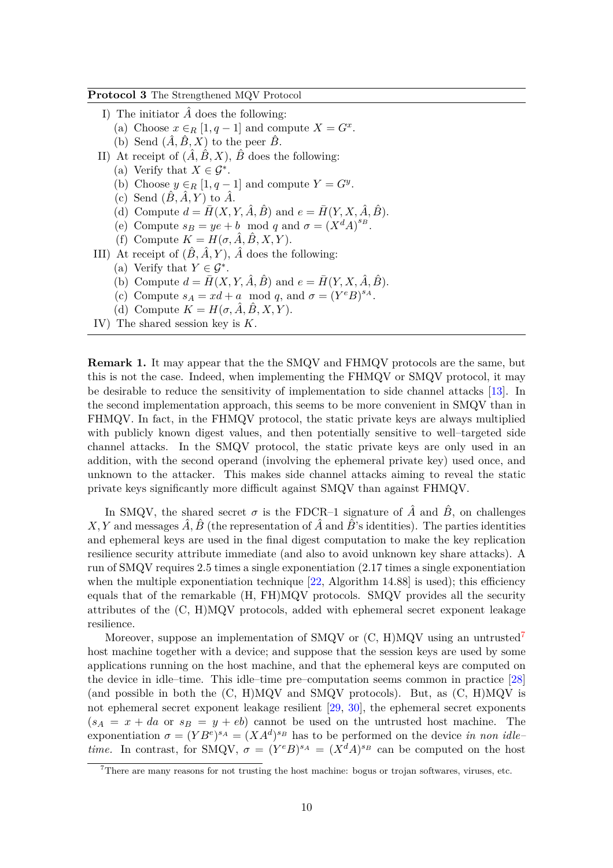<span id="page-9-0"></span>**Protocol 3** The Strengthened MQV Protocol

- I) The initiator  $\hat{A}$  does the following:
	- (a) Choose  $x \in_R [1, q-1]$  and compute  $X = G^x$ .
	- (b) Send  $(\hat{A}, \hat{B}, X)$  to the peer  $\hat{B}$ .
- <span id="page-9-1"></span>II) At receipt of  $(\hat{A}, \hat{B}, X)$ ,  $\hat{B}$  does the following:
	- (a) Verify that  $X \in \mathcal{G}^*$ .
	- (b) Choose  $y \in_R [1, q-1]$  and compute  $Y = G^y$ .
	- (c) Send  $(\hat{B}, \hat{A}, Y)$  to  $\hat{A}$ .
	- (d) Compute  $d = \overline{H}(X, Y, \hat{A}, \hat{B})$  and  $e = \overline{H}(Y, X, \hat{A}, \hat{B})$ .
	- (e) Compute  $s_B = ye + b \mod q$  and  $\sigma = (X^d A)^{s_B}$ .
	- (f) Compute  $K = H(\sigma, \hat{A}, \hat{B}, X, Y)$ .
- <span id="page-9-2"></span>III) At receipt of  $(\hat{B}, \hat{A}, Y)$ ,  $\hat{A}$  does the following:
	- (a) Verify that  $Y \in \mathcal{G}^*$ .
	- (b) Compute  $d = \overline{H}(X, Y, \hat{A}, \hat{B})$  and  $e = \overline{H}(Y, X, \hat{A}, \hat{B})$ .
	- (c) Compute  $s_A = xd + a \mod q$ , and  $\sigma = (Y^eB)^{sa}$ .
	- (d) Compute  $K = H(\sigma, \hat{A}, \hat{B}, X, Y)$ .
- IV) The shared session key is *K*.

**Remark 1.** It may appear that the the SMQV and FHMQV protocols are the same, but this is not the case. Indeed, when implementing the FHMQV or SMQV protocol, it may be desirable to reduce the sensitivity of implementation to side channel attacks [\[13\]](#page-12-14). In the second implementation approach, this seems to be more convenient in SMQV than in FHMQV. In fact, in the FHMQV protocol, the static private keys are always multiplied with publicly known digest values, and then potentially sensitive to well–targeted side channel attacks. In the SMQV protocol, the static private keys are only used in an addition, with the second operand (involving the ephemeral private key) used once, and unknown to the attacker. This makes side channel attacks aiming to reveal the static private keys significantly more difficult against SMQV than against FHMQV.

In SMQV, the shared secret  $\sigma$  is the FDCR–1 signature of  $\hat{A}$  and  $\hat{B}$ , on challenges *X, Y* and messages  $\hat{A}$ ,  $\hat{B}$  (the representation of  $\hat{A}$  and  $\hat{B}$ 's identities). The parties identities and ephemeral keys are used in the final digest computation to make the key replication resilience security attribute immediate (and also to avoid unknown key share attacks). A run of SMQV requires 2.5 times a single exponentiation (2.17 times a single exponentiation when the multiple exponentiation technique  $[22,$  Algorithm 14.88 is used); this efficiency equals that of the remarkable (H, FH)MQV protocols. SMQV provides all the security attributes of the (C, H)MQV protocols, added with ephemeral secret exponent leakage resilience.

Moreover, suppose an implementation of SMQV or  $(C, H)$ MQV using an untrusted<sup>7</sup> host machine together with a device; and suppose that the session keys are used by some applications running on the host machine, and that the ephemeral keys are computed on the device in idle–time. This idle–time pre–computation seems common in practice [\[28\]](#page-13-6) (and possible in both the  $(C, H)MQV$  and SMQV protocols). But, as  $(C, H)MQV$  is not ephemeral secret exponent leakage resilient [\[29,](#page-13-4) [30\]](#page-13-2), the ephemeral secret exponents  $(s_A = x + da \text{ or } s_B = y + eb)$  cannot be used on the untrusted host machine. The exponentiation  $\sigma = (YB^e)^{s_A} = (XA^d)^{s_B}$  has to be performed on the device *in non idletime.* In contrast, for SMQV,  $\sigma = (Y^eB)^{s_A} = (X^dA)^{s_B}$  can be computed on the host

 $7$ There are many reasons for not trusting the host machine: bogus or trojan softwares, viruses, etc.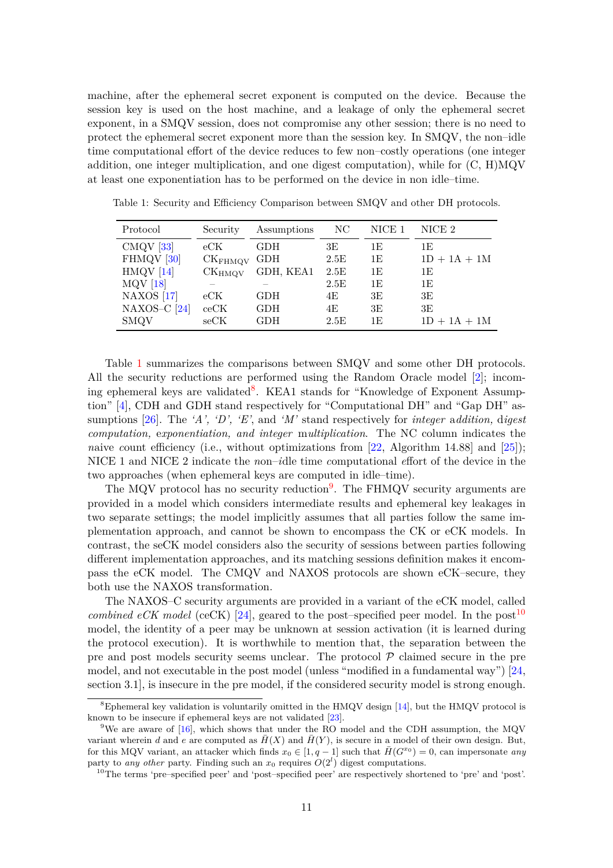machine, after the ephemeral secret exponent is computed on the device. Because the session key is used on the host machine, and a leakage of only the ephemeral secret exponent, in a SMQV session, does not compromise any other session; there is no need to protect the ephemeral secret exponent more than the session key. In SMQV, the non–idle time computational effort of the device reduces to few non–costly operations (one integer addition, one integer multiplication, and one digest computation), while for (C, H)MQV at least one exponentiation has to be performed on the device in non idle–time.

| Protocol          | Security      | Assumptions | NC.  | NICE 1 | NICE 2         |
|-------------------|---------------|-------------|------|--------|----------------|
| $CMQV$ [33]       | eCK           | <b>GDH</b>  | 3E.  | 1E     | 1E             |
| FHMQV [30]        | $CKFHMQV$ GDH |             | 2.5E | 1E     | $1D + 1A + 1M$ |
| $HMQV$ [14]       | $CK_{HMQV}$   | GDH, KEA1   | 2.5E | 1E     | 1E             |
| $MQV$ [18]        |               |             | 2.5E | 1E     | 1E             |
| <b>NAXOS</b> [17] | eCK           | <b>GDH</b>  | 4E   | 3E     | 3E             |
| NAXOS-C $[24]$    | ceCK          | <b>GDH</b>  | 4E   | 3E     | 3E             |
| <b>SMQV</b>       | seCK          | <b>GDH</b>  | 2.5E | 1E     | $1D + 1A + 1M$ |

<span id="page-10-0"></span>Table 1: Security and Efficiency Comparison between SMQV and other DH protocols.

Table [1](#page-10-0) summarizes the comparisons between SMQV and some other DH protocols. All the security reductions are performed using the Random Oracle model [\[2\]](#page-11-4); incoming ephemeral keys are validated<sup>8</sup>. KEA1 stands for "Knowledge of Exponent Assumption" [\[4\]](#page-11-5), CDH and GDH stand respectively for "Computational DH" and "Gap DH" assumptions [\[26\]](#page-13-7). The *'A', 'D', 'E'*, and *'M'* stand respectively for *integer* a*ddition,* d*igest computation,* e*xponentiation, and integer* m*ultiplication*. The NC column indicates the *naive count efficiency (i.e., without optimizations from [\[22,](#page-12-15) Algorithm 14.88] and [\[25\]](#page-12-16));* NICE 1 and NICE 2 indicate the *n*on–*i*dle time *c*omputational *e*ffort of the device in the two approaches (when ephemeral keys are computed in idle–time).

The MQV protocol has no security reduction<sup>9</sup>. The FHMQV security arguments are provided in a model which considers intermediate results and ephemeral key leakages in two separate settings; the model implicitly assumes that all parties follow the same implementation approach, and cannot be shown to encompass the CK or eCK models. In contrast, the seCK model considers also the security of sessions between parties following different implementation approaches, and its matching sessions definition makes it encompass the eCK model. The CMQV and NAXOS protocols are shown eCK–secure, they both use the NAXOS transformation.

The NAXOS–C security arguments are provided in a variant of the eCK model, called *combined eCK model* (ceCK) [\[24\]](#page-12-5), geared to the post–specified peer model. In the post<sup>10</sup> model, the identity of a peer may be unknown at session activation (it is learned during the protocol execution). It is worthwhile to mention that, the separation between the pre and post models security seems unclear. The protocol  $P$  claimed secure in the pre model, and not executable in the post model (unless "modified in a fundamental way") [\[24,](#page-12-5) section 3.1], is insecure in the pre model, if the considered security model is strong enough.

<sup>8</sup>Ephemeral key validation is voluntarily omitted in the HMQV design [\[14\]](#page-12-1), but the HMQV protocol is known to be insecure if ephemeral keys are not validated [\[23\]](#page-12-17).

<sup>&</sup>lt;sup>9</sup>We are aware of [\[16\]](#page-12-18), which shows that under the RO model and the CDH assumption, the MQV variant wherein *d* and *e* are computed as  $\bar{H}(X)$  and  $\bar{H}(Y)$ , is secure in a model of their own design. But, for this MQV variant, an attacker which finds  $x_0 \in [1, q-1]$  such that  $H(G^{x_0}) = 0$ , can impersonate *any* party to *any other* party. Finding such an  $x_0$  requires  $O(2^l)$  digest computations.

<sup>10</sup>The terms 'pre–specified peer' and 'post–specified peer' are respectively shortened to 'pre' and 'post'.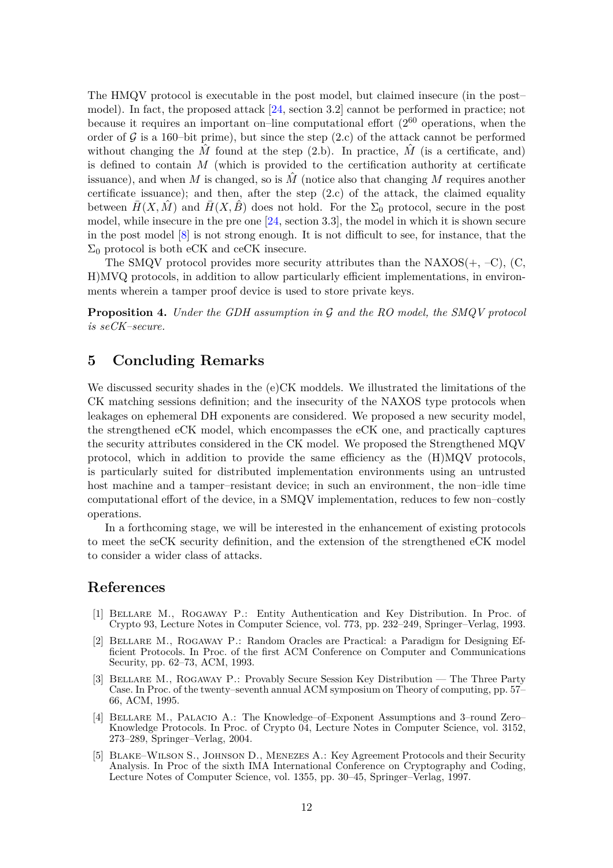The HMQV protocol is executable in the post model, but claimed insecure (in the post– model). In fact, the proposed attack [\[24,](#page-12-5) section 3.2] cannot be performed in practice; not because it requires an important on–line computational effort  $(2^{60}$  operations, when the order of G is a 160–bit prime), but since the step  $(2,c)$  of the attack cannot be performed without changing the  $\hat{M}$  found at the step (2.b). In practice,  $\hat{M}$  (is a certificate, and) is defined to contain *M* (which is provided to the certification authority at certificate issuance), and when *M* is changed, so is  $\hat{M}$  (notice also that changing *M* requires another certificate issuance); and then, after the step  $(2,c)$  of the attack, the claimed equality between  $H(X, \tilde{M})$  and  $H(X, \tilde{B})$  does not hold. For the  $\Sigma_0$  protocol, secure in the post model, while insecure in the pre one  $[24, \text{section } 3.3]$ , the model in which it is shown secure in the post model [\[8\]](#page-12-19) is not strong enough. It is not difficult to see, for instance, that the  $\Sigma_0$  protocol is both eCK and ceCK insecure.

The SMQV protocol provides more security attributes than the  $\text{NAXOS}(+, -\text{C})$ , (C, H)MVQ protocols, in addition to allow particularly efficient implementations, in environments wherein a tamper proof device is used to store private keys.

<span id="page-11-6"></span><span id="page-11-3"></span>**Proposition 4.** *Under the GDH assumption in* G *and the RO model, the SMQV protocol is seCK–secure.*

## **5 Concluding Remarks**

We discussed security shades in the (e)CK moddels. We illustrated the limitations of the CK matching sessions definition; and the insecurity of the NAXOS type protocols when leakages on ephemeral DH exponents are considered. We proposed a new security model, the strengthened eCK model, which encompasses the eCK one, and practically captures the security attributes considered in the CK model. We proposed the Strengthened MQV protocol, which in addition to provide the same efficiency as the (H)MQV protocols, is particularly suited for distributed implementation environments using an untrusted host machine and a tamper–resistant device; in such an environment, the non–idle time computational effort of the device, in a SMQV implementation, reduces to few non–costly operations.

In a forthcoming stage, we will be interested in the enhancement of existing protocols to meet the seCK security definition, and the extension of the strengthened eCK model to consider a wider class of attacks.

### **References**

- <span id="page-11-0"></span>[1] Bellare M., Rogaway P.: Entity Authentication and Key Distribution. In Proc. of Crypto 93, Lecture Notes in Computer Science, vol. 773, pp. 232–249, Springer–Verlag, 1993.
- <span id="page-11-4"></span>[2] Bellare M., Rogaway P.: Random Oracles are Practical: a Paradigm for Designing Efficient Protocols. In Proc. of the first ACM Conference on Computer and Communications Security, pp. 62–73, ACM, 1993.
- <span id="page-11-1"></span>[3] Bellare M., Rogaway P.: Provably Secure Session Key Distribution — The Three Party Case. In Proc. of the twenty–seventh annual ACM symposium on Theory of computing, pp. 57– 66, ACM, 1995.
- <span id="page-11-5"></span>[4] Bellare M., Palacio A.: The Knowledge–of–Exponent Assumptions and 3–round Zero– Knowledge Protocols. In Proc. of Crypto 04, Lecture Notes in Computer Science, vol. 3152, 273–289, Springer–Verlag, 2004.
- <span id="page-11-2"></span>[5] Blake–Wilson S., Johnson D., Menezes A.: Key Agreement Protocols and their Security Analysis. In Proc of the sixth IMA International Conference on Cryptography and Coding, Lecture Notes of Computer Science, vol. 1355, pp. 30–45, Springer–Verlag, 1997.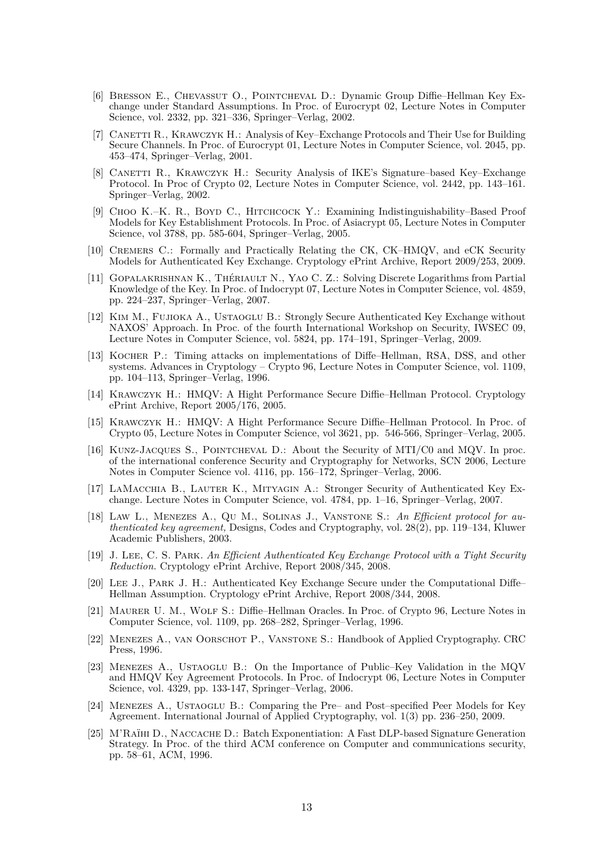- <span id="page-12-11"></span>[6] Bresson E., Chevassut O., Pointcheval D.: Dynamic Group Diffie–Hellman Key Exchange under Standard Assumptions. In Proc. of Eurocrypt 02, Lecture Notes in Computer Science, vol. 2332, pp. 321–336, Springer–Verlag, 2002.
- <span id="page-12-0"></span>[7] CANETTI R., KRAWCZYK H.: Analysis of Key–Exchange Protocols and Their Use for Building Secure Channels. In Proc. of Eurocrypt 01, Lecture Notes in Computer Science, vol. 2045, pp. 453–474, Springer–Verlag, 2001.
- <span id="page-12-19"></span>[8] Canetti R., Krawczyk H.: Security Analysis of IKE's Signature–based Key–Exchange Protocol. In Proc of Crypto 02, Lecture Notes in Computer Science, vol. 2442, pp. 143–161. Springer–Verlag, 2002.
- <span id="page-12-13"></span>[9] Choo K.–K. R., Boyd C., Hitchcock Y.: Examining Indistinguishability–Based Proof Models for Key Establishment Protocols. In Proc. of Asiacrypt 05, Lecture Notes in Computer Science, vol 3788, pp. 585-604, Springer–Verlag, 2005.
- <span id="page-12-3"></span>[10] Cremers C.: Formally and Practically Relating the CK, CK–HMQV, and eCK Security Models for Authenticated Key Exchange. Cryptology ePrint Archive, Report 2009/253, 2009.
- <span id="page-12-10"></span>[11] Gopalakrishnan K., Thériault N., Yao C. Z.: Solving Discrete Logarithms from Partial Knowledge of the Key. In Proc. of Indocrypt 07, Lecture Notes in Computer Science, vol. 4859, pp. 224–237, Springer–Verlag, 2007.
- <span id="page-12-12"></span>[12] Kim M., Fujioka A., Ustaoglu B.: Strongly Secure Authenticated Key Exchange without NAXOS' Approach. In Proc. of the fourth International Workshop on Security, IWSEC 09, Lecture Notes in Computer Science, vol. 5824, pp. 174–191, Springer–Verlag, 2009.
- <span id="page-12-14"></span>[13] Kocher P.: Timing attacks on implementations of Diffe–Hellman, RSA, DSS, and other systems. Advances in Cryptology – Crypto 96, Lecture Notes in Computer Science, vol. 1109, pp. 104–113, Springer–Verlag, 1996.
- <span id="page-12-1"></span>[14] Krawczyk H.: HMQV: A Hight Performance Secure Diffie–Hellman Protocol. Cryptology ePrint Archive, Report 2005/176, 2005.
- <span id="page-12-9"></span>[15] Krawczyk H.: HMQV: A Hight Performance Secure Diffie–Hellman Protocol. In Proc. of Crypto 05, Lecture Notes in Computer Science, vol 3621, pp. 546-566, Springer–Verlag, 2005.
- <span id="page-12-18"></span>[16] Kunz-Jacques S., Pointcheval D.: About the Security of MTI/C0 and MQV. In proc. of the international conference Security and Cryptography for Networks, SCN 2006, Lecture Notes in Computer Science vol. 4116, pp. 156–172, Springer–Verlag, 2006.
- <span id="page-12-2"></span>[17] LaMacchia B., Lauter K., Mityagin A.: Stronger Security of Authenticated Key Exchange. Lecture Notes in Computer Science, vol. 4784, pp. 1–16, Springer–Verlag, 2007.
- <span id="page-12-4"></span>[18] Law L., Menezes A., Qu M., Solinas J., Vanstone S.: *An Efficient protocol for authenticated key agreement,* Designs, Codes and Cryptography, vol. 28(2), pp. 119–134, Kluwer Academic Publishers, 2003.
- <span id="page-12-8"></span>[19] J. Lee, C. S. Park. *An Efficient Authenticated Key Exchange Protocol with a Tight Security Reduction.* Cryptology ePrint Archive, Report 2008/345, 2008.
- <span id="page-12-7"></span>[20] Lee J., Park J. H.: Authenticated Key Exchange Secure under the Computational Diffe– Hellman Assumption. Cryptology ePrint Archive, Report 2008/344, 2008.
- <span id="page-12-6"></span>[21] Maurer U. M., Wolf S.: Diffie–Hellman Oracles. In Proc. of Crypto 96, Lecture Notes in Computer Science, vol. 1109, pp. 268–282, Springer–Verlag, 1996.
- <span id="page-12-15"></span>[22] Menezes A., van Oorschot P., Vanstone S.: Handbook of Applied Cryptography. CRC Press, 1996.
- <span id="page-12-17"></span>[23] Menezes A., Ustaoglu B.: On the Importance of Public–Key Validation in the MQV and HMQV Key Agreement Protocols. In Proc. of Indocrypt 06, Lecture Notes in Computer Science, vol. 4329, pp. 133-147, Springer–Verlag, 2006.
- <span id="page-12-5"></span>[24] Menezes A., Ustaoglu B.: Comparing the Pre– and Post–specified Peer Models for Key Agreement. International Journal of Applied Cryptography, vol. 1(3) pp. 236–250, 2009.
- <span id="page-12-16"></span>[25] M'Raïhi D., Naccache D.: Batch Exponentiation: A Fast DLP-based Signature Generation Strategy. In Proc. of the third ACM conference on Computer and communications security, pp. 58–61, ACM, 1996.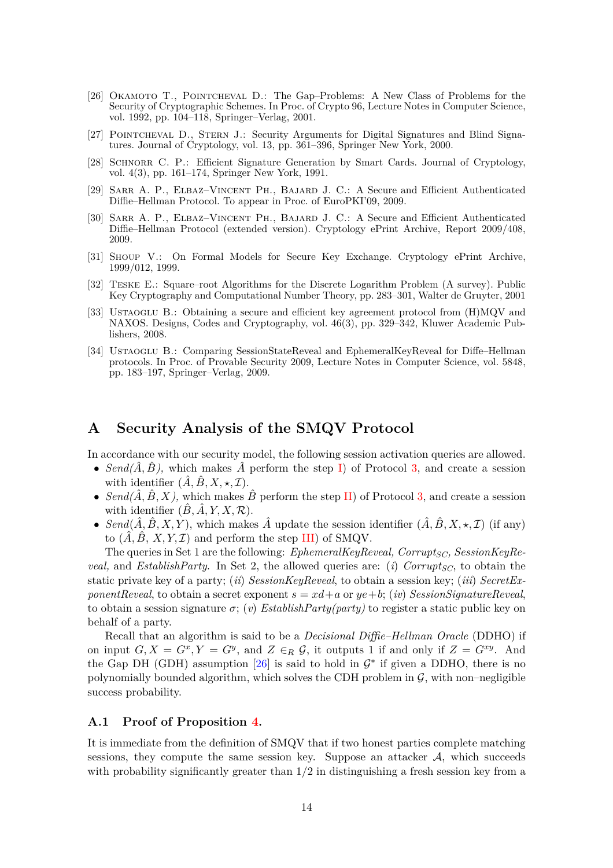- <span id="page-13-7"></span>[26] Okamoto T., Pointcheval D.: The Gap–Problems: A New Class of Problems for the Security of Cryptographic Schemes. In Proc. of Crypto 96, Lecture Notes in Computer Science, vol. 1992, pp. 104–118, Springer–Verlag, 2001.
- <span id="page-13-8"></span>[27] Pointcheval D., Stern J.: Security Arguments for Digital Signatures and Blind Signatures. Journal of Cryptology, vol. 13, pp. 361–396, Springer New York, 2000.
- <span id="page-13-6"></span>[28] SCHNORR C. P.: Efficient Signature Generation by Smart Cards. Journal of Cryptology, vol. 4(3), pp. 161–174, Springer New York, 1991.
- <span id="page-13-4"></span>[29] SARR A. P., ELBAZ-VINCENT PH., BAJARD J. C.: A Secure and Efficient Authenticated Diffie–Hellman Protocol. To appear in Proc. of EuroPKI'09, 2009.
- <span id="page-13-2"></span>[30] Sarr A. P., Elbaz–Vincent Ph., Bajard J. C.: A Secure and Efficient Authenticated Diffie–Hellman Protocol (extended version). Cryptology ePrint Archive, Report 2009/408, 2009.
- <span id="page-13-0"></span>[31] Shoup V.: On Formal Models for Secure Key Exchange. Cryptology ePrint Archive, 1999/012, 1999.
- <span id="page-13-5"></span>[32] Teske E.: Square–root Algorithms for the Discrete Logarithm Problem (A survey). Public Key Cryptography and Computational Number Theory, pp. 283–301, Walter de Gruyter, 2001
- <span id="page-13-3"></span>[33] USTAOGLU B.: Obtaining a secure and efficient key agreement protocol from (H)MOV and NAXOS. Designs, Codes and Cryptography, vol. 46(3), pp. 329–342, Kluwer Academic Publishers, 2008.
- <span id="page-13-1"></span>[34] USTAOGLU B.: Comparing SessionStateReveal and EphemeralKeyReveal for Diffe–Hellman protocols. In Proc. of Provable Security 2009, Lecture Notes in Computer Science, vol. 5848, pp. 183–197, Springer–Verlag, 2009.

## **A Security Analysis of the SMQV Protocol**

In accordance with our security model, the following session activation queries are allowed.

- *Send(* $\overline{A}, \overline{B}$ *),* which makes  $\overline{A}$  perform the step [I\)](#page-9-0) of Protocol 3, and create a session with identifier  $(\hat{A}, \hat{B}, X, \star, \mathcal{I})$ .
- *Send*( $\hat{A}, \hat{B}, X$ ), which makes  $\hat{B}$  perform the step [II\)](#page-9-1) of Protocol 3, and create a session with identifier  $(\hat{B}, \hat{A}, Y, X, \mathcal{R})$ .
- *Send*( $\hat{A}, \hat{B}, X, Y$ ), which makes  $\hat{A}$  update the session identifier  $(\hat{A}, \hat{B}, X, \star, \mathcal{I})$  (if any) to  $(\hat{A}, \hat{B}, X, Y, \mathcal{I})$  and perform the step [III\)](#page-9-2) of SMQV.

The queries in Set 1 are the following: *EphemeralKeyReveal, CorruptSC, SessionKeyReveal,* and *EstablishParty*. In Set 2, the allowed queries are: (*i*) *Corrupt<sub>SC</sub>*, to obtain the static private key of a party; (*ii*) *SessionKeyReveal*, to obtain a session key; (*iii*) *SecretExponentReveal*, to obtain a secret exponent  $s = xd + a$  or  $ye + b$ ; *(iv) SessionSignatureReveal*, to obtain a session signature *σ*; (*v*) *EstablishParty(party)* to register a static public key on behalf of a party.

Recall that an algorithm is said to be a *Decisional Diffie–Hellman Oracle* (DDHO) if on input  $G, X = G^x, Y = G^y$ , and  $Z \in_R \mathcal{G}$ , it outputs 1 if and only if  $Z = G^{xy}$ . And the Gap DH (GDH) assumption [\[26\]](#page-13-7) is said to hold in  $\mathcal{G}^*$  if given a DDHO, there is no polynomially bounded algorithm, which solves the CDH problem in  $\mathcal{G}$ , with non–negligible success probability.

### **A.1 Proof of Proposition [4.](#page-11-6)**

It is immediate from the definition of SMQV that if two honest parties complete matching sessions, they compute the same session key. Suppose an attacker  $A$ , which succeeds with probability significantly greater than 1*/*2 in distinguishing a fresh session key from a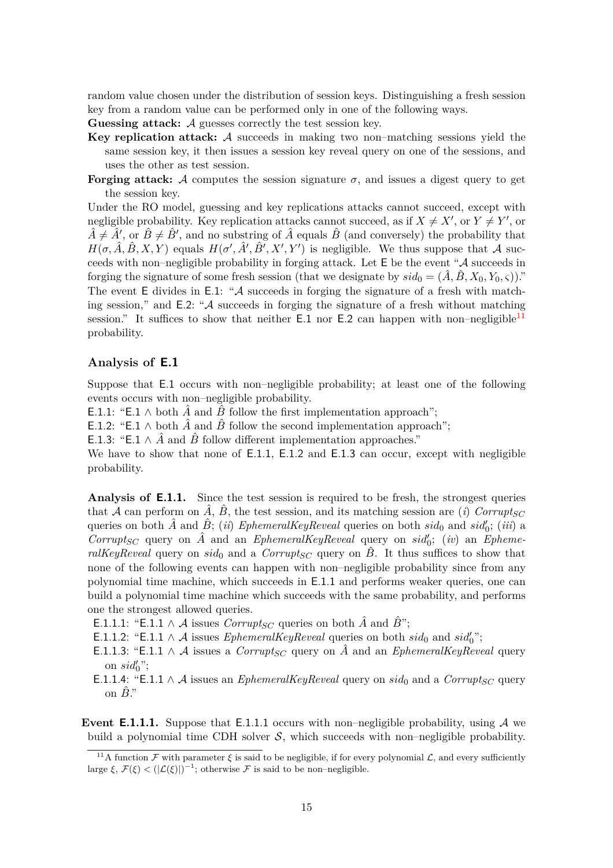random value chosen under the distribution of session keys. Distinguishing a fresh session key from a random value can be performed only in one of the following ways.

**Guessing attack:** A guesses correctly the test session key.

- **Key replication attack:** A succeeds in making two non–matching sessions yield the same session key, it then issues a session key reveal query on one of the sessions, and uses the other as test session.
- **Forging attack:** A computes the session signature  $\sigma$ , and issues a digest query to get the session key.

Under the RO model, guessing and key replications attacks cannot succeed, except with negligible probability. Key replication attacks cannot succeed, as if  $X \neq X'$ , or  $Y \neq Y'$ , or  $\hat{A} \neq \hat{A}'$ , or  $\hat{B} \neq \hat{B}'$ , and no substring of  $\hat{A}$  equals  $\hat{B}$  (and conversely) the probability that  $H(\sigma, \hat{A}, \hat{B}, X, Y)$  equals  $H(\sigma', \hat{A}', \hat{B}', X', Y')$  is negligible. We thus suppose that A succeeds with non–negligible probability in forging attack. Let  $E$  be the event " $A$  succeeds in forging the signature of some fresh session (that we designate by  $sid_0 = (\hat{A}, \hat{B}, X_0, Y_0, \varsigma)$ )." The event  $E$  divides in  $E.1$ : " $A$  succeeds in forging the signature of a fresh with matching session," and E.2: " $A$  succeeds in forging the signature of a fresh without matching session." It suffices to show that neither  $E.1$  nor  $E.2$  can happen with non-negligible<sup>11</sup> probability.

### **Analysis of E.1**

Suppose that E.1 occurs with non–negligible probability; at least one of the following events occurs with non–negligible probability.

E.1.1: "E.1 ∧ both  $\hat{A}$  and  $\hat{B}$  follow the first implementation approach";

E.1.2: "E.1 ∧ both  $\hat{A}$  and  $\hat{B}$  follow the second implementation approach";

E.1.3: "E.1 ∧  $\hat{A}$  and  $\hat{B}$  follow different implementation approaches."

We have to show that none of E.1.1, E.1.2 and E.1.3 can occur, except with negligible probability.

**Analysis of E.1.1.** Since the test session is required to be fresh, the strongest queries that A can perform on  $\hat{A}$ ,  $\hat{B}$ , the test session, and its matching session are (*i*) *Corruptsc* queries on both  $\hat{A}$  and  $\hat{B}$ ; (*ii*) *EphemeralKeyReveal* queries on both *sid*<sub>0</sub> and *sid*<sup>'</sup><sub>0</sub>; (*iii*) a  $Corrupt_{SC}$  query on  $\hat{A}$  and an  $EpheneralKeyReveal$  query on  $sid'_0$ ; (*iv*) an  $Epheme$ *ralKeyReveal* query on *sid*<sub>0</sub> and a *Corrupt<sub>SC</sub>* query on  $\hat{B}$ . It thus suffices to show that none of the following events can happen with non–negligible probability since from any polynomial time machine, which succeeds in E.1.1 and performs weaker queries, one can build a polynomial time machine which succeeds with the same probability, and performs one the strongest allowed queries.

- E.1.1.1: "E.1.1 ∧ *A* issues *Corrupt<sub>SC</sub>* queries on both  $\hat{A}$  and  $\hat{B}$ ";
- E.1.1.2: "E.1.1 ∧ A issues *EphemeralKeyReveal* queries on both  $sid_0$  and  $sid_0'$ ";
- E.1.1.3: "E.1.1 ∧ A issues a *Corrupt<sub>SC</sub>* query on  $\hat{A}$  and an *EphemeralKeyReveal* query on  $sid'_0$ ";
- E.1.1.4: "E.1.1 ∧ A issues an *EphemeralKeyReveal* query on  $sid_0$  and a  $Corrupt_{SC}$  query on  $\hat{B}$ ."

**Event <b>E.1.1.1.** Suppose that **E.1.1.1** occurs with non–negligible probability, using  $\mathcal{A}$  we build a polynomial time CDH solver  $S$ , which succeeds with non–negligible probability.

<sup>&</sup>lt;sup>11</sup>A function  $\mathcal F$  with parameter  $\xi$  is said to be negligible, if for every polynomial  $\mathcal L$ , and every sufficiently large  $\xi$ ,  $\mathcal{F}(\xi) < (|\mathcal{L}(\xi)|)^{-1}$ ; otherwise  $\mathcal F$  is said to be non-negligible.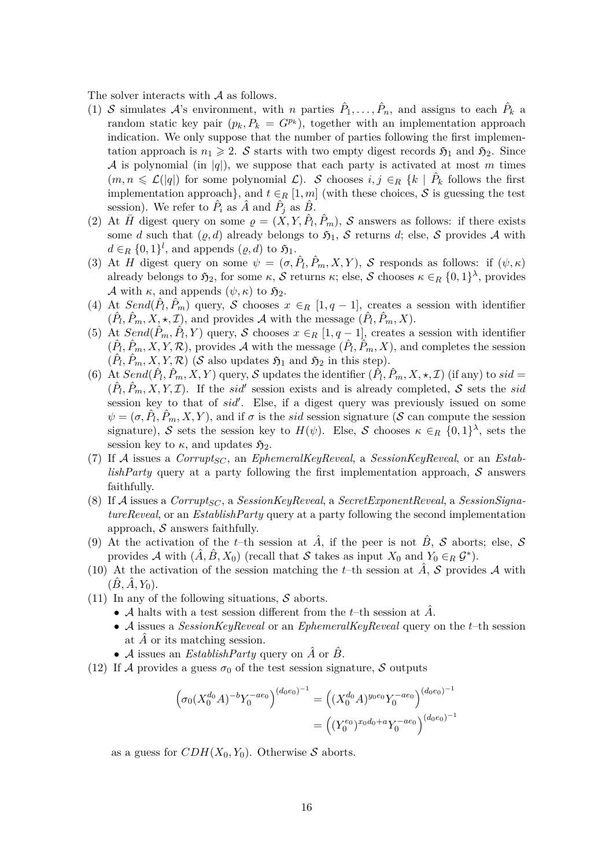The solver interacts with  ${\mathcal A}$  as follows.

- (1) S simulates A's environment, with *n* parties  $\hat{P}_1, \ldots, \hat{P}_n$ , and assigns to each  $\hat{P}_k$  a random static key pair  $(p_k, P_k = G^{p_k})$ , together with an implementation approach indication. We only suppose that the number of parties following the first implementation approach is  $n_1 \geq 2$ . S starts with two empty digest records  $\mathfrak{H}_1$  and  $\mathfrak{H}_2$ . Since A is polynomial (in  $|q|$ ), we suppose that each party is activated at most m times  $(m, n \leq \mathcal{L}(|q|)$  for some polynomial  $\mathcal{L}$ ). S chooses  $i, j \in_R \{k \mid \hat{P}_k \}$  follows the first implementation approach}, and  $t \in_R [1, m]$  (with these choices,  $S$  is guessing the test session). We refer to  $\hat{P}_i$  as  $\hat{A}$  and  $\hat{P}_j$  as  $\hat{B}$ .
- (2) At  $\bar{H}$  digest query on some  $\varrho = (\tilde{X}, Y, \hat{P}_l, \hat{P}_m)$ , S answers as follows: if there exists some *d* such that  $(\varrho, d)$  already belongs to  $\mathfrak{H}_1$ , S returns *d*; else, S provides A with  $d \in_R \{0,1\}^l$ , and appends  $(\varrho, d)$  to  $\mathfrak{H}_1$ .
- (3) At *H* digest query on some  $\psi = (\sigma, \hat{P}_l, \hat{P}_m, X, Y)$ , S responds as follows: if  $(\psi, \kappa)$ already belongs to  $\mathfrak{H}_2$ , for some  $\kappa$ , S returns  $\kappa$ ; else, S chooses  $\kappa \in_R \{0,1\}^{\lambda}$ , provides A with  $\kappa$ , and appends  $(\psi, \kappa)$  to  $\mathfrak{H}_2$ .
- (4) At  $Send(\hat{P}_l, \hat{P}_m)$  query, S chooses  $x \in_R [1, q-1]$ , creates a session with identifier  $(\hat{P}_l, \hat{P}_m, X, \star, \mathcal{I})$ , and provides A with the message  $(\hat{P}_l, \hat{P}_m, X)$ .
- (5) At  $Send(\hat{P}_m, \hat{P}_l, Y)$  query, S chooses  $x \in_R [1, q-1]$ , creates a session with identifier  $(\hat{P}_l, \hat{P}_m, X, Y, \mathcal{R})$ , provides A with the message  $(\hat{P}_l, \hat{P}_m, X)$ , and completes the session  $(\hat{P}_l, \hat{P}_m, X, Y, \mathcal{R})$  (S also updates  $\mathfrak{H}_1$  and  $\mathfrak{H}_2$  in this step).
- (6) At  $Send(\hat{P}_l, \hat{P}_m, X, Y)$  query, S updates the identifier  $(\hat{P}_l, \hat{P}_m, X, \star, \mathcal{I})$  (if any) to  $sid =$  $(\hat{P}_l, \hat{P}_m, X, Y, \mathcal{I})$ . If the *sid'* session exists and is already completed, S sets the *sid* session key to that of *sid*′ . Else, if a digest query was previously issued on some  $\psi = (\sigma, \hat{P}_l, \hat{P}_m, X, Y)$ , and if  $\sigma$  is the *sid* session signature (S can compute the session signature), S sets the session key to  $H(\psi)$ . Else, S chooses  $\kappa \in_R \{0,1\}^{\lambda}$ , sets the session key to  $\kappa$ , and updates  $\mathfrak{H}_2$ .
- (7) If A issues a *CorruptSC*, an *EphemeralKeyReveal*, a *SessionKeyReveal*, or an *Estab* $lishParty$  query at a party following the first implementation approach,  $S$  answers faithfully.
- (8) If A issues a *CorruptSC*, a *SessionKeyReveal*, a *SecretExponentReveal*, a *SessionSignatureReveal*, or an *EstablishParty* query at a party following the second implementation approach,  $S$  answers faithfully.
- (9) At the activation of the *t*–th session at  $\hat{A}$ , if the peer is not  $\hat{B}$ , S aborts; else, S provides A with  $(\hat{A}, \hat{B}, X_0)$  (recall that S takes as input  $X_0$  and  $Y_0 \in_R \mathcal{G}^*$ ).
- (10) At the activation of the session matching the *t*–th session at  $\hat{A}$ ,  $\hat{S}$  provides  $\hat{A}$  with  $(\hat{B}, \hat{A}, Y_0)$ .
- (11) In any of the following situations,  $\mathcal S$  aborts.
	- A halts with a test session different from the  $t$ –th session at  $\hat{A}$ .
	- A issues a *SessionKeyReveal* or an *EphemeralKeyReveal* query on the *t*–th session at  $\hat{A}$  or its matching session.
	- A issues an *EstablishParty* query on  $\hat{A}$  or  $\hat{B}$ .
- (12) If A provides a guess  $\sigma_0$  of the test session signature, S outputs

$$
\begin{aligned} \left(\sigma_0 (X_0^{d_0} A)^{-b} Y_0^{-a e_0}\right)^{(d_0 e_0)^{-1}} &= \left((X_0^{d_0} A)^{y_0 e_0} Y_0^{-a e_0}\right)^{(d_0 e_0)^{-1}} \\ &= \left((Y_0^{e_0})^{x_0 d_0 + a} Y_0^{-a e_0}\right)^{(d_0 e_0)^{-1}} \end{aligned}
$$

as a guess for  $CDH(X_0, Y_0)$ . Otherwise S aborts.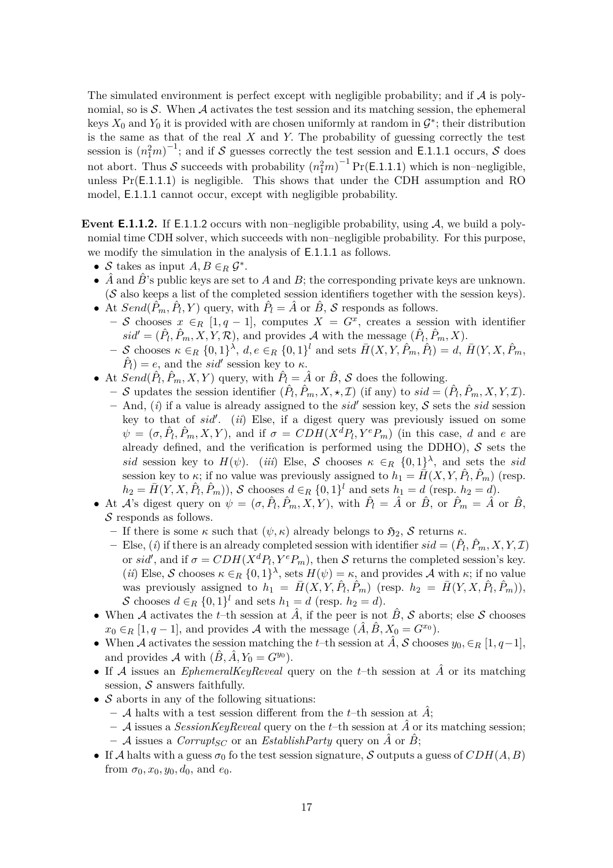The simulated environment is perfect except with negligible probability; and if  $A$  is polynomial, so is  $\mathcal S$ . When  $\mathcal A$  activates the test session and its matching session, the ephemeral keys  $X_0$  and  $Y_0$  it is provided with are chosen uniformly at random in  $\mathcal{G}^*$ ; their distribution is the same as that of the real *X* and *Y.* The probability of guessing correctly the test session is  $(n_1^2m)^{-1}$ ; and if S guesses correctly the test session and E.1.1.1 occurs, S does not abort. Thus S succeeds with probability  $(n_1^2m)^{-1}$  Pr(E.1.1.1) which is non-negligible, unless Pr(E.1.1.1) is negligible. This shows that under the CDH assumption and RO model, E.1.1.1 cannot occur, except with negligible probability.

**Event <b>E.1.1.2.** If E.1.1.2 occurs with non–negligible probability, using  $A$ , we build a polynomial time CDH solver, which succeeds with non–negligible probability. For this purpose, we modify the simulation in the analysis of E.1.1.1 as follows.

- S takes as input  $A, B \in_R \mathcal{G}^*$ .
- $\hat{A}$  and  $\hat{B}$ 's public keys are set to A and B; the corresponding private keys are unknown. (S also keeps a list of the completed session identifiers together with the session keys).
- At  $Send(\hat{P}_m, \hat{P}_l, Y)$  query, with  $\hat{P}_l = \hat{A}$  or  $\hat{B}$ , S responds as follows.
	- $-$  S chooses  $x \in_R [1, q-1]$ , computes  $X = G^x$ , creates a session with identifier  $sid' = (\hat{P}_l, \hat{P}_m, X, Y, \mathcal{R})$ , and provides A with the message  $(\hat{P}_l, \hat{P}_m, X)$ .
	- $-\mathcal{S}$  chooses  $\kappa \in_R \{0,1\}^{\lambda}$ ,  $d, e \in_R \{0,1\}^l$  and sets  $\bar{H}(X, Y, \hat{P}_m, \hat{P}_l) = d, \bar{H}(Y, X, \hat{P}_m, \hat{P}_l)$  $\hat{P}_l$ ) = *e*, and the *sid'* session key to *κ*.
- At  $Send(\hat{P}_l, \hat{P}_m, X, Y)$  query, with  $\hat{P}_l = \hat{A}$  or  $\hat{B}$ , S does the following.
	- $\mathcal{S}$  updates the session identifier  $(\hat{P}_l, \hat{P}_m, X, \star, \mathcal{I})$  (if any) to  $sid = (\hat{P}_l, \hat{P}_m, X, Y, \mathcal{I})$ . **–** And, (*i*) if a value is already assigned to the *sid*′ session key, S sets the *sid* session key to that of *sid*′ . (*ii*) Else, if a digest query was previously issued on some  $\psi = (\sigma, \hat{P}_l, \hat{P}_m, X, Y)$ , and if  $\sigma = CDH(X^dP_l, Y^eP_m)$  (in this case, *d* and *e* are already defined, and the verification is performed using the DDHO),  $S$  sets the *sid* session key to  $H(\psi)$ . (*iii*) Else, S chooses  $\kappa \in_R \{0,1\}^{\lambda}$ , and sets the *sid* session key to  $\kappa$ ; if no value was previously assigned to  $h_1 = \overline{H}(X, Y, \hat{P}_l, \hat{P}_m)$  (resp.  $h_2 = \bar{H}(Y, X, \hat{P}_l, \hat{P}_m)$ , S chooses  $d \in_R \{0, 1\}^l$  and sets  $h_1 = d$  (resp.  $h_2 = d$ ).
- At A's digest query on  $\psi = (\sigma, \hat{P}_l, \hat{P}_m, X, Y)$ , with  $\hat{P}_l = \hat{A}$  or  $\hat{B}$ , or  $\hat{P}_m = \hat{A}$  or  $\hat{B}$ ,  $S$  responds as follows.
	- **–** If there is some *κ* such that  $(ψ, κ)$  already belongs to  $\mathfrak{H}_2$ ,  $\mathcal{S}$  returns *κ*.
	- $-$  Else, (*i*) if there is an already completed session with identifier  $sid = (\hat{P}_l, \hat{P}_m, X, Y, \mathcal{I})$ or *sid'*, and if  $\sigma = CDH(X^dP_l, Y^eP_m)$ , then S returns the completed session's key. (*ii*) Else, S chooses  $\kappa \in_R \{0,1\}^{\lambda}$ , sets  $H(\psi) = \kappa$ , and provides A with  $\kappa$ ; if no value was previously assigned to  $h_1 = \overline{H}(X, Y, \hat{P}_l, \hat{P}_m)$  (resp.  $h_2 = \overline{H}(Y, X, \hat{P}_l, \hat{P}_m)$ ), S chooses  $d \in_R \{0,1\}^l$  and sets  $h_1 = d$  (resp.  $h_2 = d$ ).
- When A activates the *t*-th session at  $\hat{A}$ , if the peer is not  $\hat{B}$ , S aborts; else S chooses  $x_0 \in_R [1, q-1]$ , and provides A with the message  $(\hat{A}, \hat{B}, X_0 = G^{x_0})$ .
- When A activates the session matching the *t*–th session at  $\hat{A}$ , S chooses  $y_0$ ,  $\in_R$  [1, q-1], and provides  $\mathcal A$  with  $(\hat B, \hat A, Y_0 = G^{y_0})$ .
- If A issues an *EphemeralKeyReveal* query on the *t*-th session at  $\hat{A}$  or its matching session,  $S$  answers faithfully.
- $S$  aborts in any of the following situations:
	- **–** A halts with a test session different from the *t*–th session at *A*ˆ;
	- **–** A issues a *SessionKeyReveal* query on the *t*–th session at *A*ˆ or its matching session;
	- $-$  A issues a *Corrupt<sub>SC</sub>* or an *EstablishParty* query on  $\hat{A}$  or  $\hat{B}$ ;
- If A halts with a guess  $\sigma_0$  fo the test session signature, S outputs a guess of  $CDH(A, B)$ from  $\sigma_0, x_0, y_0, d_0$ , and  $e_0$ .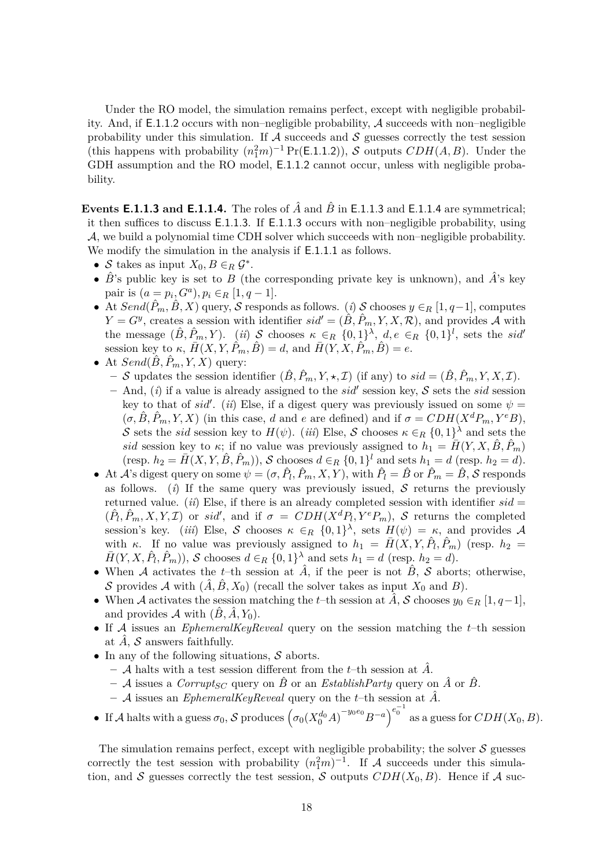Under the RO model, the simulation remains perfect, except with negligible probability. And, if  $E.1.1.2$  occurs with non-negligible probability, A succeeds with non-negligible probability under this simulation. If A succeeds and S guesses correctly the test session (this happens with probability  $(n_1^2m)^{-1}$  Pr(**E.1.1.2**)), S outputs  $CDH(A, B)$ . Under the GDH assumption and the RO model, E.1.1.2 cannot occur, unless with negligible probability.

**Events E.1.1.3** and **E.1.1.4.** The roles of  $\hat{A}$  and  $\hat{B}$  in **E.1.1.3** and **E.1.1.4** are symmetrical; it then suffices to discuss E.1.1.3. If E.1.1.3 occurs with non–negligible probability, using A, we build a polynomial time CDH solver which succeeds with non–negligible probability. We modify the simulation in the analysis if  $E.1.1.1$  as follows.

- S takes as input  $X_0, B \in_R \mathcal{G}^*$ .
- $\hat{B}$ 's public key is set to *B* (the corresponding private key is unknown), and  $\hat{A}$ 's key  $pair \text{ is } (a = p_i, G^a), p_i \in_R [1, q-1].$
- At  $Send(\hat{P}_m, \hat{B}, X)$  query, S responds as follows. (*i*) S chooses  $y \in_R [1, q-1]$ , computes  $Y = G^y$ , creates a session with identifier  $sid' = (\hat{B}, \hat{P}_m, Y, X, \mathcal{R})$ , and provides A with the message  $(\hat{B}, \hat{P}_m, Y)$ . (*ii*) S chooses  $\kappa \in_R \{0,1\}^{\lambda}$ ,  $d, e \in_R \{0,1\}^l$ , sets the *sid'* session key to  $\kappa$ ,  $\bar{H}(X, Y, \hat{P}_m, \hat{B}) = d$ , and  $\bar{H}(Y, X, \hat{P}_m, \hat{B}) = e$ .
- At  $Send(\hat{B}, \hat{P}_m, Y, X)$  query:
	- $-\mathcal{S}$  updates the session identifier  $(\hat{B}, \hat{P}_m, Y, \star, \mathcal{I})$  (if any) to  $sid = (\hat{B}, \hat{P}_m, Y, X, \mathcal{I})$ .
	- **–** And, (*i*) if a value is already assigned to the *sid*′ session key, S sets the *sid* session key to that of *sid'*. (*ii*) Else, if a digest query was previously issued on some  $\psi =$  $(\sigma, \hat{B}, \hat{P}_m, Y, X)$  (in this case, *d* and *e* are defined) and if  $\sigma = CDH(X^dP_m, Y^eB)$ , S sets the *sid* session key to  $H(\psi)$ . (*iii*) Else, S chooses  $\kappa \in_R \{0,1\}^{\lambda}$  and sets the *sid* session key to *κ*; if no value was previously assigned to  $h_1 = \bar{H}(Y, X, \hat{B}, \hat{P}_m)$  $(\text{resp. } h_2 = \bar{H}(X, Y, \hat{B}, \hat{P}_m)),$  S chooses  $d \in_R \{0, 1\}^l$  and sets  $h_1 = d$  (resp.  $h_2 = d$ ).
- At  $\mathcal{A}$ 's digest query on some  $\psi = (\sigma, \hat{P}_l, \hat{P}_m, X, Y)$ , with  $\hat{P}_l = \hat{B}$  or  $\hat{P}_m = \hat{B}$ , S responds as follows. (*i*) If the same query was previously issued,  $S$  returns the previously returned value. (*ii*) Else, if there is an already completed session with identifier  $sid =$  $(\hat{P}_l, \hat{P}_m, X, Y, \mathcal{I})$  or *sid'*, and if  $\sigma = CDH(X^dP_l, Y^eP_m)$ , S returns the completed session's key. (*iii*) Else, S chooses  $\kappa \in_R \{0,1\}^{\lambda}$ , sets  $H(\psi) = \kappa$ , and provides A with *κ*. If no value was previously assigned to  $h_1 = \bar{H}(X, Y, \hat{P}_l, \hat{P}_m)$  (resp.  $h_2 =$  $\bar{H}(Y, X, \hat{P}_l, \hat{P}_m)$ , S chooses  $d \in_R \{0, 1\}^{\lambda}$  and sets  $h_1 = d$  (resp.  $h_2 = d$ ).
- When A activates the *t*-th session at  $\hat{A}$ , if the peer is not  $\hat{B}$ , S aborts; otherwise, S provides A with  $(\hat{A}, \hat{B}, X_0)$  (recall the solver takes as input  $X_0$  and  $B$ ).
- When A activates the session matching the *t*–th session at  $\hat{A}$ , S chooses  $y_0 \in_R [1, q-1]$ , and provides  $\mathcal A$  with  $(\hat B, \hat A, Y_0)$ .
- If A issues an *EphemeralKeyReveal* query on the session matching the *t*–th session at  $\ddot{A}$ ,  $S$  answers faithfully.
- In any of the following situations,  $S$  aborts.
	- **–** A halts with a test session different from the *t*–th session at *A*ˆ.
	- $-$  A issues a *Corrupt<sub>SC</sub>* query on  $\hat{B}$  or an *EstablishParty* query on  $\hat{A}$  or  $\hat{B}$ .
	- $\cal A$  issues an  ${\it EphemeralKeyReveal}$  query on the  $t\text{–th}$  session at  $\hat A.$
- If A halts with a guess  $\sigma_0$ , S produces  $(\sigma_0(X_0^{d_0}A)^{-y_0e_0}B^{-a})^{e_0^{-1}}$  as a guess for  $CDH(X_0, B)$ .

The simulation remains perfect, except with negligible probability; the solver  $\mathcal S$  guesses correctly the test session with probability  $(n_1^2m)^{-1}$ . If A succeeds under this simulation, and S guesses correctly the test session, S outputs  $CDH(X_0, B)$ . Hence if A suc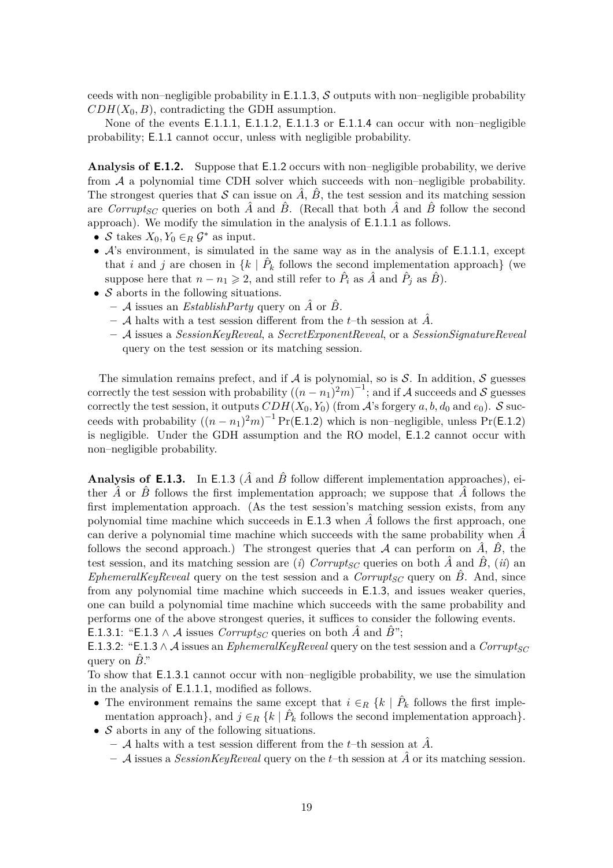ceeds with non–negligible probability in E.1.1.3,  $\mathcal S$  outputs with non–negligible probability  $CDH(X_0, B)$ , contradicting the GDH assumption.

None of the events E.1.1.1, E.1.1.2, E.1.1.3 or E.1.1.4 can occur with non-negligible probability; E.1.1 cannot occur, unless with negligible probability.

**Analysis of E.1.2.** Suppose that E.1.2 occurs with non–negligible probability, we derive from  $A$  a polynomial time CDH solver which succeeds with non–negligible probability. The strongest queries that  $S$  can issue on  $\hat{A}$ ,  $\hat{B}$ , the test session and its matching session are *Corrupt<sub>SC</sub>* queries on both  $\hat{A}$  and  $\hat{B}$ . (Recall that both  $\hat{A}$  and  $\hat{B}$  follow the second approach). We modify the simulation in the analysis of E.1.1.1 as follows.

- S takes  $X_0, Y_0 \in_R \mathcal{G}^*$  as input.
- $\mathcal{A}$ 's environment, is simulated in the same way as in the analysis of E.1.1.1, except that *i* and *j* are chosen in  $\{k \mid \hat{P}_k \text{ follows the second implementation approach}\}\$  (we suppose here that  $n - n_1 \geqslant 2$ , and still refer to  $\hat{P}_i$  as  $\hat{A}$  and  $\hat{P}_j$  as  $\hat{B}$ ).
- $S$  aborts in the following situations.
	- **–** A issues an *EstablishParty* query on *A*ˆ or *B*ˆ.
	- **–** A halts with a test session different from the *t*–th session at *A*ˆ.
	- **–** A issues a *SessionKeyReveal*, a *SecretExponentReveal*, or a *SessionSignatureReveal* query on the test session or its matching session.

The simulation remains prefect, and if A is polynomial, so is S. In addition, S guesses correctly the test session with probability  $((n - n_1)^2 m)^{-1}$ ; and if A succeeds and S guesses correctly the test session, it outputs  $CDH(X_0, Y_0)$  (from A's forgery *a, b, d*<sub>0</sub> and *e*<sub>0</sub>). S succeeds with probability  $((n - n_1)^2 m)^{-1} Pr(E.1.2)$  which is non-negligible, unless Pr(E.1.2) is negligible. Under the GDH assumption and the RO model, E.1.2 cannot occur with non–negligible probability.

**Analysis of <b>E.1.3.** In E.1.3 ( $\hat{A}$  and  $\hat{B}$  follow different implementation approaches), either  $\hat{A}$  or  $\hat{B}$  follows the first implementation approach; we suppose that  $\hat{A}$  follows the first implementation approach. (As the test session's matching session exists, from any polynomial time machine which succeeds in E.1.3 when *A*ˆ follows the first approach, one can derive a polynomial time machine which succeeds with the same probability when  $\hat{A}$ follows the second approach.) The strongest queries that  $A$  can perform on  $\hat{A}$ ,  $\hat{B}$ , the test session, and its matching session are (*i*) *Corrupt<sub>SC</sub>* queries on both  $\hat{A}$  and  $\hat{B}$ , (*ii*) and *EphemeralKeyReveal* query on the test session and a  $Corrupt_{SC}$  query on  $\hat{B}$ . And, since from any polynomial time machine which succeeds in E.1.3, and issues weaker queries, one can build a polynomial time machine which succeeds with the same probability and performs one of the above strongest queries, it suffices to consider the following events.

E.1.3.1: "E.1.3 ∧ A issues *Corrupt<sub>SC</sub>* queries on both  $\hat{A}$  and  $\hat{B}$ ";

E.1.3.2: "E.1.3 ∧ A issues an *EphemeralKeyReveal* query on the test session and a *CorruptSC* query on  $\hat{B}$ ."

To show that E.1.3.1 cannot occur with non–negligible probability, we use the simulation in the analysis of E.1.1.1, modified as follows.

- The environment remains the same except that  $i \in_R \{k \mid \hat{P}_k \}$  follows the first implementation approach}, and  $j \in_R \{k \mid \hat{P}_k \}$  follows the second implementation approach}.
- $S$  aborts in any of the following situations.
	- **–** A halts with a test session different from the *t*–th session at  $\hat{A}$ .
	- **–** A issues a *SessionKeyReveal* query on the *t*–th session at *A*ˆ or its matching session.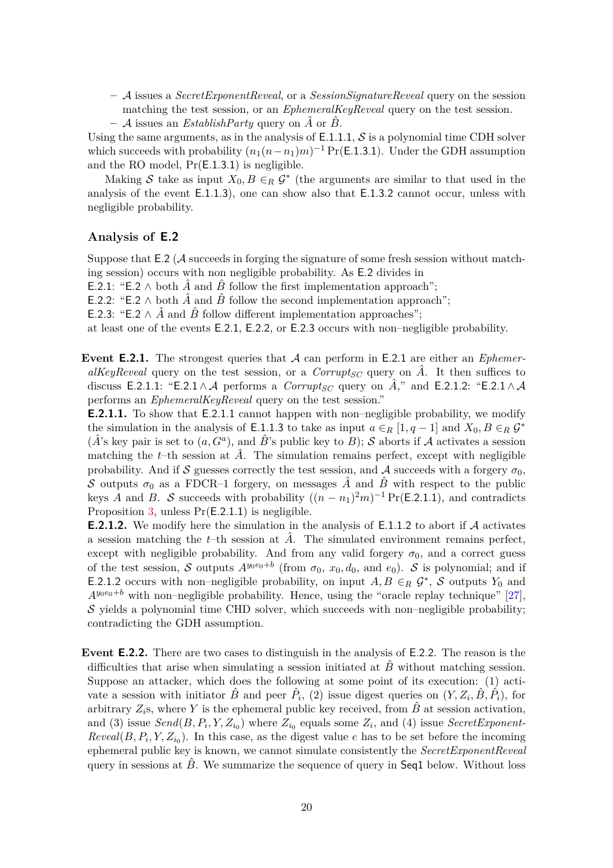- **–** A issues a *SecretExponentReveal*, or a *SessionSignatureReveal* query on the session matching the test session, or an *EphemeralKeyReveal* query on the test session.
- $-$  *A* issues an *EstablishParty* query on  $\hat{A}$  or  $\hat{B}$ .

Using the same arguments, as in the analysis of  $E.1.1.1$ ,  $S$  is a polynomial time CDH solver which succeeds with probability  $(n_1(n-n_1)m)^{-1}$  Pr(E.1.3.1). Under the GDH assumption and the RO model, Pr(E.1.3.1) is negligible.

Making S take as input  $X_0, B \in_R \mathcal{G}^*$  (the arguments are similar to that used in the analysis of the event E.1.1.3), one can show also that E.1.3.2 cannot occur, unless with negligible probability.

### **Analysis of E.2**

Suppose that E.2 (A succeeds in forging the signature of some fresh session without matching session) occurs with non negligible probability. As E.2 divides in

E.2.1: "E.2 ∧ both  $\hat{A}$  and  $\hat{B}$  follow the first implementation approach";

E.2.2: "E.2 ∧ both  $\hat{A}$  and  $\hat{B}$  follow the second implementation approach";

E.2.3: "E.2 ∧  $\hat{A}$  and  $\hat{B}$  follow different implementation approaches";

at least one of the events E.2.1, E.2.2, or E.2.3 occurs with non–negligible probability.

**Event E.2.1.** The strongest queries that A can perform in E.2.1 are either an *EphemeralKeyReveal* query on the test session, or a *Corrupt*<sub>*SC*</sub> query on  $\hat{A}$ . It then suffices to discuss E.2.1.1: "E.2.1∧ A performs a *Corrupt<sub>SC*</sub> query on  $\hat{A}$ ," and E.2.1.2: "E.2.1∧ A performs an *EphemeralKeyReveal* query on the test session."

**E.2.1.1.** To show that E.2.1.1 cannot happen with non–negligible probability, we modify the simulation in the analysis of E.1.1.3 to take as input  $a \in_R [1, q-1]$  and  $X_0, B \in_R \mathcal{G}^*$  $(\hat{A}$ 's key pair is set to  $(a, G^a)$ , and  $\hat{B}$ 's public key to B); S aborts if A activates a session matching the *t*–th session at  $\hat{A}$ . The simulation remains perfect, except with negligible probability. And if S guesses correctly the test session, and A succeeds with a forgery  $\sigma_0$ , S outputs  $\sigma_0$  as a FDCR-1 forgery, on messages  $\hat{A}$  and  $\hat{B}$  with respect to the public keys *A* and *B*. *S* succeeds with probability  $((n - n_1)^2 m)^{-1} Pr(E.2.1.1)$ , and contradicts Proposition [3,](#page-8-1) unless  $Pr(E.2.1.1)$  is negligible.

**E.2.1.2.** We modify here the simulation in the analysis of E.1.1.2 to abort if A activates a session matching the  $t$ –th session at  $\hat{A}$ . The simulated environment remains perfect, except with negligible probability. And from any valid forgery  $\sigma_0$ , and a correct guess of the test session, S outputs  $A^{y_0e_0+b}$  (from  $\sigma_0$ ,  $x_0$ ,  $d_0$ , and  $e_0$ ). S is polynomial; and if E.2.1.2 occurs with non–negligible probability, on input  $A, B \in_R \mathcal{G}^*, \mathcal{S}$  outputs  $Y_0$  and  $A^{y_0e_0+b}$  with non–negligible probability. Hence, using the "oracle replay technique" [\[27\]](#page-13-8),  $\mathcal S$  yields a polynomial time CHD solver, which succeeds with non–negligible probability; contradicting the GDH assumption.

**Event E.2.2.** There are two cases to distinguish in the analysis of E.2.2. The reason is the difficulties that arise when simulating a session initiated at *B* without matching session. Suppose an attacker, which does the following at some point of its execution: (1) activate a session with initiator  $\hat{B}$  and peer  $\hat{P}_i$ , (2) issue digest queries on  $(Y, Z_i, \hat{B}, \hat{P}_i)$ , for arbitrary  $Z_i$ s, where Y is the ephemeral public key received, from  $\hat{B}$  at session activation, and (3) issue  $Send(B, P_i, Y, Z_{i_0})$  where  $Z_{i_0}$  equals some  $Z_i$ , and (4) issue *SecretExponent*-*Reveal*( $B, P_i, Y, Z_{i_0}$ ). In this case, as the digest value *e* has to be set before the incoming ephemeral public key is known, we cannot simulate consistently the *SecretExponentReveal* query in sessions at  $\hat{B}$ . We summarize the sequence of query in Seq1 below. Without loss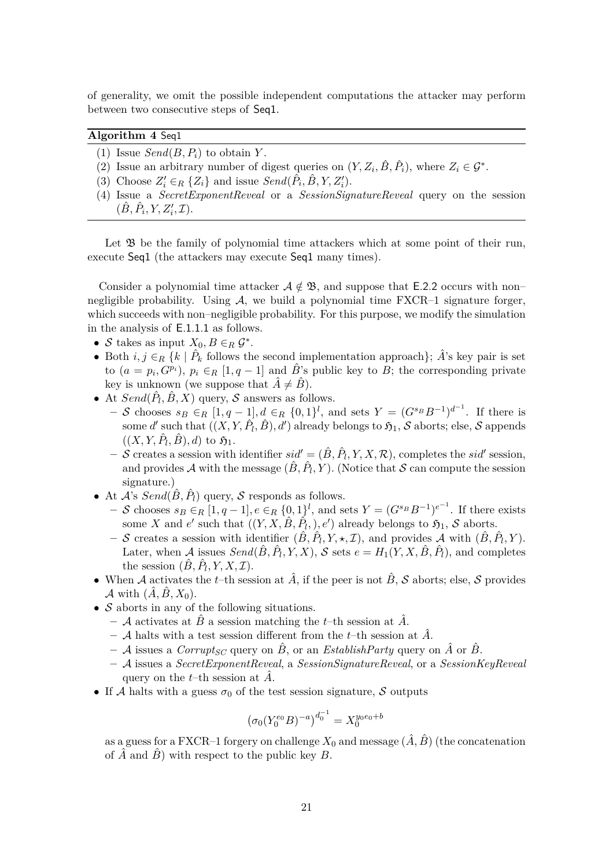of generality, we omit the possible independent computations the attacker may perform between two consecutive steps of Seq1.

### **Algorithm 4** Seq1

- <span id="page-20-0"></span>(1) Issue  $Send(B, P_i)$  to obtain *Y*.
- <span id="page-20-1"></span>(2) Issue an arbitrary number of digest queries on  $(Y, Z_i, \hat{B}, \hat{P}_i)$ , where  $Z_i \in \mathcal{G}^*$ .
- (3) Choose  $Z'_i \in_R \{Z_i\}$  and issue  $Send(\hat{P}_i, \hat{B}, Y, Z'_i)$ .
- (4) Issue a *SecretExponentReveal* or a *SessionSignatureReveal* query on the session  $(\hat{B}, \hat{P}_i, Y, Z'_i, \mathcal{I}).$

Let  $\mathfrak B$  be the family of polynomial time attackers which at some point of their run, execute Seq1 (the attackers may execute Seq1 many times).

Consider a polynomial time attacker  $A \notin \mathfrak{B}$ , and suppose that E.2.2 occurs with non– negligible probability. Using  $A$ , we build a polynomial time  $\text{FXCR}-1$  signature forger, which succeeds with non–negligible probability. For this purpose, we modify the simulation in the analysis of E.1.1.1 as follows.

- S takes as input  $X_0, B \in_R \mathcal{G}^*$ .
- Both  $i, j \in_R \{k \mid \hat{P}_k \}$  follows the second implementation approach};  $\hat{A}$ 's key pair is set to  $(a = p_i, G^{p_i}), p_i \in_R [1, q-1]$  and  $\hat{B}$ 's public key to *B*; the corresponding private key is unknown (we suppose that  $\hat{A} \neq \hat{B}$ ).
- At  $Send(\hat{P}_l, \hat{B}, X)$  query, S answers as follows.
	- $-$  S chooses  $s_B \in_R [1, q-1], d \in_R \{0, 1\}^l$ , and sets  $Y = (G^{s_B}B^{-1})^{d^{-1}}$ . If there is  $\mathcal{S}$  and  $d'$  such that  $((X, Y, \hat{P}_l, \hat{B}), d')$  already belongs to  $\mathfrak{H}_1$ ,  $\mathcal S$  aborts; else,  $\mathcal S$  appends  $((X, Y, \hat{P}_l, \hat{B}), d)$  to  $\mathfrak{H}_1$ .
	- $\mathcal{S}$  creates a session with identifier  $sid' = (\hat{B}, \hat{P}_l, Y, X, \mathcal{R})$ , completes the *sid'* session, and provides  $\mathcal A$  with the message  $(\hat B,\hat P_l,Y)$ . (Notice that  $\mathcal S$  can compute the session signature.)
- At  $A$ 's  $Send(\hat{B}, \hat{P}_l)$  query,  $S$  responds as follows.
	- $\sim$  S chooses  $s_B \in_R [1, q-1], e \in_R \{0, 1\}^l$ , and sets  $Y = (G^{s_B}B^{-1})^{e^{-1}}$ . If there exists some *X* and *e'* such that  $((Y, X, \hat{B}, \hat{P}_l,), e')$  already belongs to  $\mathfrak{H}_1$ , *S* aborts.
	- $-$  S creates a session with identifier  $(\hat{B}, \hat{P}_l, Y, \star, \mathcal{I})$ , and provides A with  $(\hat{B}, \hat{P}_l, Y)$ . Later, when A issues  $Send(\hat{B}, \hat{P}_l, Y, X)$ , S sets  $e = H_1(Y, X, \hat{B}, \hat{P}_l)$ , and completes the session  $(\hat{B}, \hat{P}_l, Y, X, \mathcal{I})$ .
- When A activates the *t*-th session at  $\hat{A}$ , if the peer is not  $\hat{B}$ , S aborts; else, S provides  $\mathcal A$  with  $(\hat A, \hat B, X_0)$ .
- $S$  aborts in any of the following situations.
	- $-$  A activates at  $\hat{B}$  a session matching the *t*–th session at  $\hat{A}$ .
	- **–** A halts with a test session different from the *t*–th session at *A*ˆ.
	- $-$  A issues a *Corrupt<sub>SC</sub>* query on  $\hat{B}$ , or an *EstablishParty* query on  $\hat{A}$  or  $\hat{B}$ .
	- **–** A issues a *SecretExponentReveal*, a *SessionSignatureReveal*, or a *SessionKeyReveal* query on the *t*–th session at  $\hat{A}$ .
- If A halts with a guess  $\sigma_0$  of the test session signature, S outputs

$$
\big(\sigma_0(Y_0^{e_0}B)^{-a}\big)^{d_0^{-1}} = X_0^{y_0e_0 + b}
$$

as a guess for a FXCR–1 forgery on challenge  $X_0$  and message  $(\hat{A}, \hat{B})$  (the concatenation of  $\hat{A}$  and  $\hat{B}$ ) with respect to the public key  $B$ .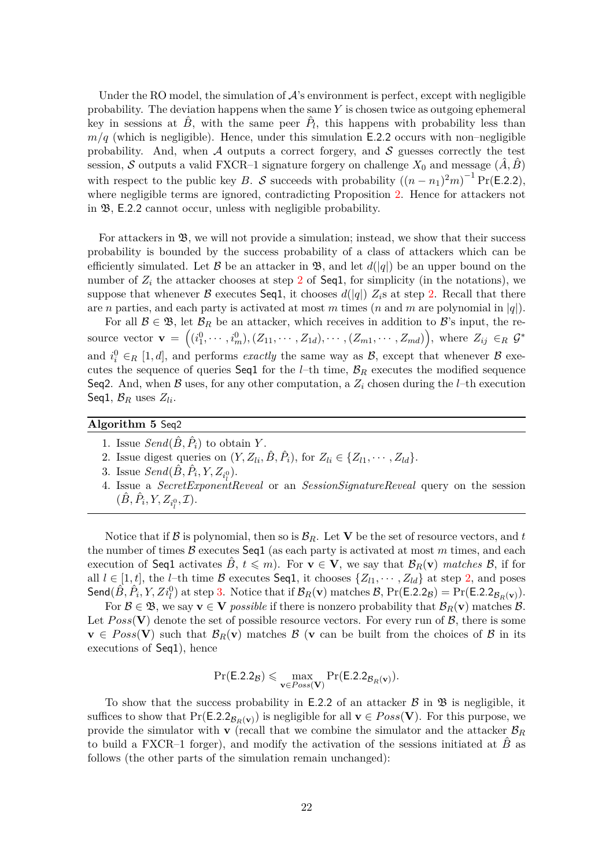Under the RO model, the simulation of  $A$ 's environment is perfect, except with negligible probability. The deviation happens when the same *Y* is chosen twice as outgoing ephemeral key in sessions at  $\hat{B}$ , with the same peer  $\hat{P}_l$ , this happens with probability less than  $m/q$  (which is negligible). Hence, under this simulation  $E.2.2$  occurs with non-negligible probability. And, when  $A$  outputs a correct forgery, and  $S$  guesses correctly the test session, S outputs a valid FXCR–1 signature forgery on challenge  $X_0$  and message  $(\hat{A}, \hat{B})$ with respect to the public key *B*. S succeeds with probability  $((n - n_1)^2 m)^{-1} Pr(E.2.2)$ , where negligible terms are ignored, contradicting Proposition [2.](#page-8-2) Hence for attackers not in B, E.2.2 cannot occur, unless with negligible probability.

For attackers in  $\mathfrak{B}$ , we will not provide a simulation; instead, we show that their success probability is bounded by the success probability of a class of attackers which can be efficiently simulated. Let B be an attacker in  $\mathfrak{B}$ , and let  $d(|q|)$  be an upper bound on the number of  $Z_i$  the attacker chooses at step [2](#page-20-0) of Seq1, for simplicity (in the notations), we suppose that whenever B executes Seq1, it chooses  $d(|q|)$   $Z_i$ s at step [2.](#page-20-0) Recall that there are *n* parties, and each party is activated at most *m* times (*n* and *m* are polynomial in  $|q|$ ).

For all  $\mathcal{B} \in \mathfrak{B}$ , let  $\mathcal{B}_R$  be an attacker, which receives in addition to  $\mathcal{B}$ 's input, the resource vector  $\mathbf{v} = ((i_1^0, \cdots, i_m^0), (Z_{11}, \cdots, Z_{1d}), \cdots, (Z_{m1}, \cdots, Z_{md}))$ , where  $Z_{ij} \in_R \mathcal{G}^*$ and  $i_i^0 \in_R [1, d]$ , and performs *exactly* the same way as  $\mathcal{B}$ , except that whenever  $\mathcal{B}$  executes the sequence of queries Seq1 for the *l*–th time,  $\mathcal{B}_R$  executes the modified sequence Seq2. And, when  $\beta$  uses, for any other computation, a  $Z_i$  chosen during the *l*–th execution Seq1,  $B_R$  uses  $Z_{li}$ .

### **Algorithm 5** Seq2

- 1. Issue  $Send(\hat{B}, \hat{P}_i)$  to obtain *Y*.
- 2. Issue digest queries on  $(Y, Z_{li}, \hat{B}, \hat{P}_i)$ , for  $Z_{li} \in \{Z_{l1}, \cdots, Z_{ld}\}.$
- 3. Issue  $Send(\hat{B}, \hat{P}_i, Y, Z_{i_l^0})$ .
- 4. Issue a *SecretExponentReveal* or an *SessionSignatureReveal* query on the session  $(\hat{B}, \hat{P}_i, Y, Z_{i_l^0}, \mathcal{I}).$

Notice that if  $\mathcal{B}$  is polynomial, then so is  $\mathcal{B}_R$ . Let **V** be the set of resource vectors, and *t* the number of times  $\beta$  executes Seq1 (as each party is activated at most  $m$  times, and each execution of Seq1 activates  $\hat{B}$ ,  $t \leq m$ ). For  $\mathbf{v} \in \mathbf{V}$ , we say that  $\mathcal{B}_R(\mathbf{v})$  matches  $\mathcal{B}$ , if for all  $l \in [1, t]$ , the *l*-th time B executes Seq1, it chooses  $\{Z_{l1}, \dots, Z_{ld}\}$  at step [2,](#page-20-0) and poses  $\mathsf{Send}(\hat{B}, \hat{P}_i, Y, Zi_l^0)$  at step [3.](#page-20-1) Notice that if  $\mathcal{B}_R(\mathbf{v})$  matches  $\mathcal{B}, \Pr(\mathsf{E}.2.2_{\mathcal{B}}) = \Pr(\mathsf{E}.2.2_{\mathcal{B}_R(\mathbf{v})}).$ 

For  $\mathcal{B} \in \mathcal{B}$ , we say  $\mathbf{v} \in \mathbf{V}$  possible if there is nonzero probability that  $\mathcal{B}_R(\mathbf{v})$  matches  $\mathcal{B}$ . Let  $Poss(\mathbf{V})$  denote the set of possible resource vectors. For every run of  $\mathcal{B}$ , there is some  $\mathbf{v} \in Poss(\mathbf{V})$  such that  $\mathcal{B}_R(\mathbf{v})$  matches  $\mathcal{B}(\mathbf{v})$  can be built from the choices of  $\mathcal{B}$  in its executions of Seq1), hence

$$
\Pr(\mathsf{E.2.2_B}) \leqslant \max_{\mathbf{v} \in Poss(\mathbf{V})} \Pr(\mathsf{E.2.2}_{\mathcal{B}_R(\mathbf{v})}).
$$

To show that the success probability in E.2.2 of an attacker  $\beta$  in  $\mathfrak{B}$  is negligible, it suffices to show that  $Pr(E.2.2_{\mathcal{B}_R(\mathbf{v})})$  is negligible for all  $\mathbf{v} \in Poss(\mathbf{V})$ . For this purpose, we provide the simulator with **v** (recall that we combine the simulator and the attacker  $B_R$ to build a FXCR–1 forger), and modify the activation of the sessions initiated at  $\hat{B}$  as follows (the other parts of the simulation remain unchanged):